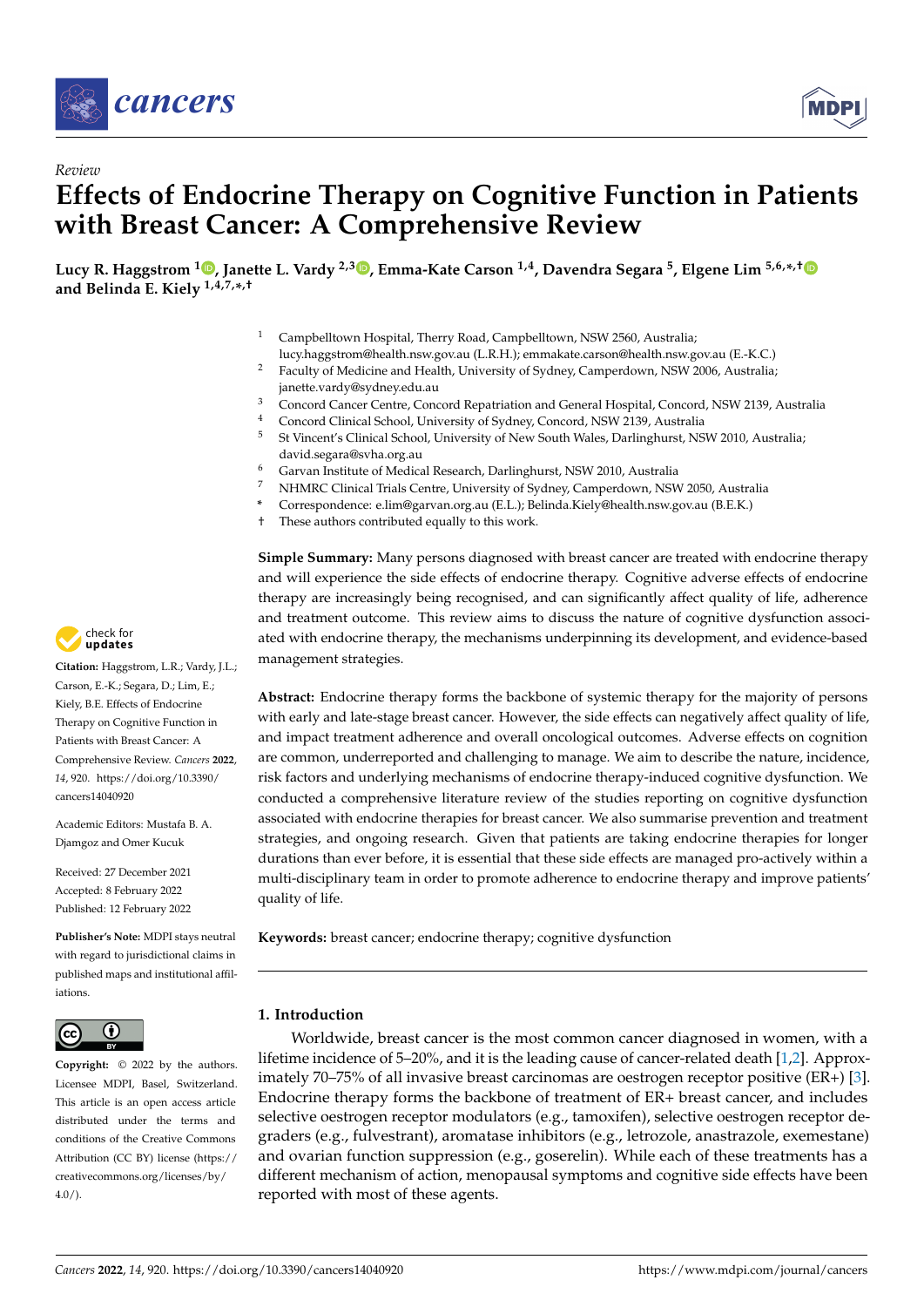

*Review*



# **Effects of Endocrine Therapy on Cognitive Function in Patients with Breast Cancer: A Comprehensive Review**

**Lucy R. Haggstrom <sup>1</sup> [,](https://orcid.org/0000-0001-7179-1223) Janette L. Vardy 2,[3](https://orcid.org/0000-0002-5739-5790) , Emma-Kate Carson 1,4, Davendra Segara <sup>5</sup> , Elgene Lim 5,6,\* ,[†](https://orcid.org/0000-0001-8065-8838) and Belinda E. Kiely 1,4,7,\* ,†**

- Campbelltown Hospital, Therry Road, Campbelltown, NSW 2560, Australia;
- lucy.haggstrom@health.nsw.gov.au (L.R.H.); emmakate.carson@health.nsw.gov.au (E.-K.C.) <sup>2</sup> Faculty of Medicine and Health, University of Sydney, Camperdown, NSW 2006, Australia; janette.vardy@sydney.edu.au
- <sup>3</sup> Concord Cancer Centre, Concord Repatriation and General Hospital, Concord, NSW 2139, Australia
- 4 Concord Clinical School, University of Sydney, Concord, NSW 2139, Australia<br>5 St Vincent's Clinical School, University of New South Wales, Darlinghurst, NS
- <sup>5</sup> St Vincent's Clinical School, University of New South Wales, Darlinghurst, NSW 2010, Australia; david.segara@svha.org.au
- <sup>6</sup> Garvan Institute of Medical Research, Darlinghurst, NSW 2010, Australia
- <sup>7</sup> NHMRC Clinical Trials Centre, University of Sydney, Camperdown, NSW 2050, Australia
- **\*** Correspondence: e.lim@garvan.org.au (E.L.); Belinda.Kiely@health.nsw.gov.au (B.E.K.)
- † These authors contributed equally to this work.

**Simple Summary:** Many persons diagnosed with breast cancer are treated with endocrine therapy and will experience the side effects of endocrine therapy. Cognitive adverse effects of endocrine therapy are increasingly being recognised, and can significantly affect quality of life, adherence and treatment outcome. This review aims to discuss the nature of cognitive dysfunction associated with endocrine therapy, the mechanisms underpinning its development, and evidence-based management strategies.

**Abstract:** Endocrine therapy forms the backbone of systemic therapy for the majority of persons with early and late-stage breast cancer. However, the side effects can negatively affect quality of life, and impact treatment adherence and overall oncological outcomes. Adverse effects on cognition are common, underreported and challenging to manage. We aim to describe the nature, incidence, risk factors and underlying mechanisms of endocrine therapy-induced cognitive dysfunction. We conducted a comprehensive literature review of the studies reporting on cognitive dysfunction associated with endocrine therapies for breast cancer. We also summarise prevention and treatment strategies, and ongoing research. Given that patients are taking endocrine therapies for longer durations than ever before, it is essential that these side effects are managed pro-actively within a multi-disciplinary team in order to promote adherence to endocrine therapy and improve patients' quality of life.

**Keywords:** breast cancer; endocrine therapy; cognitive dysfunction

## **1. Introduction**

Worldwide, breast cancer is the most common cancer diagnosed in women, with a lifetime incidence of 5–20%, and it is the leading cause of cancer-related death [\[1,](#page-13-0)[2\]](#page-13-1). Approximately 70–75% of all invasive breast carcinomas are oestrogen receptor positive (ER+) [\[3\]](#page-13-2). Endocrine therapy forms the backbone of treatment of ER+ breast cancer, and includes selective oestrogen receptor modulators (e.g., tamoxifen), selective oestrogen receptor degraders (e.g., fulvestrant), aromatase inhibitors (e.g., letrozole, anastrazole, exemestane) and ovarian function suppression (e.g., goserelin). While each of these treatments has a different mechanism of action, menopausal symptoms and cognitive side effects have been reported with most of these agents.



**Citation:** Haggstrom, L.R.; Vardy, J.L.; Carson, E.-K.; Segara, D.; Lim, E.; Kiely, B.E. Effects of Endocrine Therapy on Cognitive Function in Patients with Breast Cancer: A Comprehensive Review. *Cancers* **2022**, *14*, 920. [https://doi.org/10.3390/](https://doi.org/10.3390/cancers14040920) [cancers14040920](https://doi.org/10.3390/cancers14040920)

Academic Editors: Mustafa B. A. Djamgoz and Omer Kucuk

Received: 27 December 2021 Accepted: 8 February 2022 Published: 12 February 2022

**Publisher's Note:** MDPI stays neutral with regard to jurisdictional claims in published maps and institutional affiliations.



**Copyright:** © 2022 by the authors. Licensee MDPI, Basel, Switzerland. This article is an open access article distributed under the terms and conditions of the Creative Commons Attribution (CC BY) license [\(https://](https://creativecommons.org/licenses/by/4.0/) [creativecommons.org/licenses/by/](https://creativecommons.org/licenses/by/4.0/)  $4.0/$ ).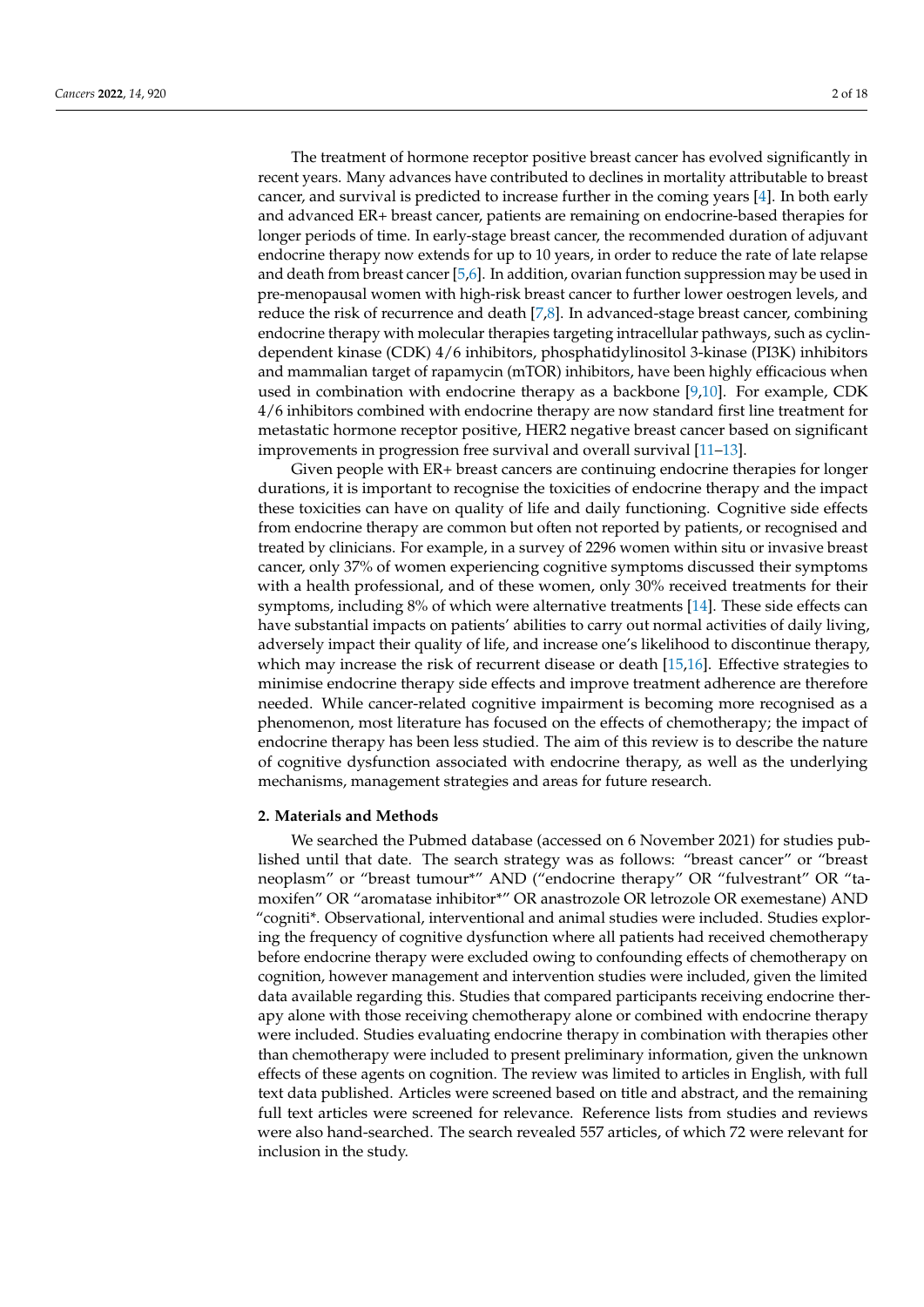The treatment of hormone receptor positive breast cancer has evolved significantly in recent years. Many advances have contributed to declines in mortality attributable to breast cancer, and survival is predicted to increase further in the coming years [\[4\]](#page-13-3). In both early and advanced ER+ breast cancer, patients are remaining on endocrine-based therapies for longer periods of time. In early-stage breast cancer, the recommended duration of adjuvant endocrine therapy now extends for up to 10 years, in order to reduce the rate of late relapse and death from breast cancer [\[5](#page-13-4)[,6\]](#page-13-5). In addition, ovarian function suppression may be used in pre-menopausal women with high-risk breast cancer to further lower oestrogen levels, and reduce the risk of recurrence and death [\[7,](#page-13-6)[8\]](#page-13-7). In advanced-stage breast cancer, combining endocrine therapy with molecular therapies targeting intracellular pathways, such as cyclindependent kinase (CDK) 4/6 inhibitors, phosphatidylinositol 3-kinase (PI3K) inhibitors and mammalian target of rapamycin (mTOR) inhibitors, have been highly efficacious when used in combination with endocrine therapy as a backbone  $[9,10]$  $[9,10]$ . For example, CDK 4/6 inhibitors combined with endocrine therapy are now standard first line treatment for metastatic hormone receptor positive, HER2 negative breast cancer based on significant improvements in progression free survival and overall survival [\[11–](#page-13-10)[13\]](#page-13-11).

Given people with ER+ breast cancers are continuing endocrine therapies for longer durations, it is important to recognise the toxicities of endocrine therapy and the impact these toxicities can have on quality of life and daily functioning. Cognitive side effects from endocrine therapy are common but often not reported by patients, or recognised and treated by clinicians. For example, in a survey of 2296 women within situ or invasive breast cancer, only 37% of women experiencing cognitive symptoms discussed their symptoms with a health professional, and of these women, only 30% received treatments for their symptoms, including 8% of which were alternative treatments [\[14\]](#page-14-0). These side effects can have substantial impacts on patients' abilities to carry out normal activities of daily living, adversely impact their quality of life, and increase one's likelihood to discontinue therapy, which may increase the risk of recurrent disease or death [\[15](#page-14-1)[,16\]](#page-14-2). Effective strategies to minimise endocrine therapy side effects and improve treatment adherence are therefore needed. While cancer-related cognitive impairment is becoming more recognised as a phenomenon, most literature has focused on the effects of chemotherapy; the impact of endocrine therapy has been less studied. The aim of this review is to describe the nature of cognitive dysfunction associated with endocrine therapy, as well as the underlying mechanisms, management strategies and areas for future research.

## **2. Materials and Methods**

We searched the Pubmed database (accessed on 6 November 2021) for studies published until that date. The search strategy was as follows: "breast cancer" or "breast neoplasm" or "breast tumour\*" AND ("endocrine therapy" OR "fulvestrant" OR "tamoxifen" OR "aromatase inhibitor\*" OR anastrozole OR letrozole OR exemestane) AND "cogniti\*. Observational, interventional and animal studies were included. Studies exploring the frequency of cognitive dysfunction where all patients had received chemotherapy before endocrine therapy were excluded owing to confounding effects of chemotherapy on cognition, however management and intervention studies were included, given the limited data available regarding this. Studies that compared participants receiving endocrine therapy alone with those receiving chemotherapy alone or combined with endocrine therapy were included. Studies evaluating endocrine therapy in combination with therapies other than chemotherapy were included to present preliminary information, given the unknown effects of these agents on cognition. The review was limited to articles in English, with full text data published. Articles were screened based on title and abstract, and the remaining full text articles were screened for relevance. Reference lists from studies and reviews were also hand-searched. The search revealed 557 articles, of which 72 were relevant for inclusion in the study.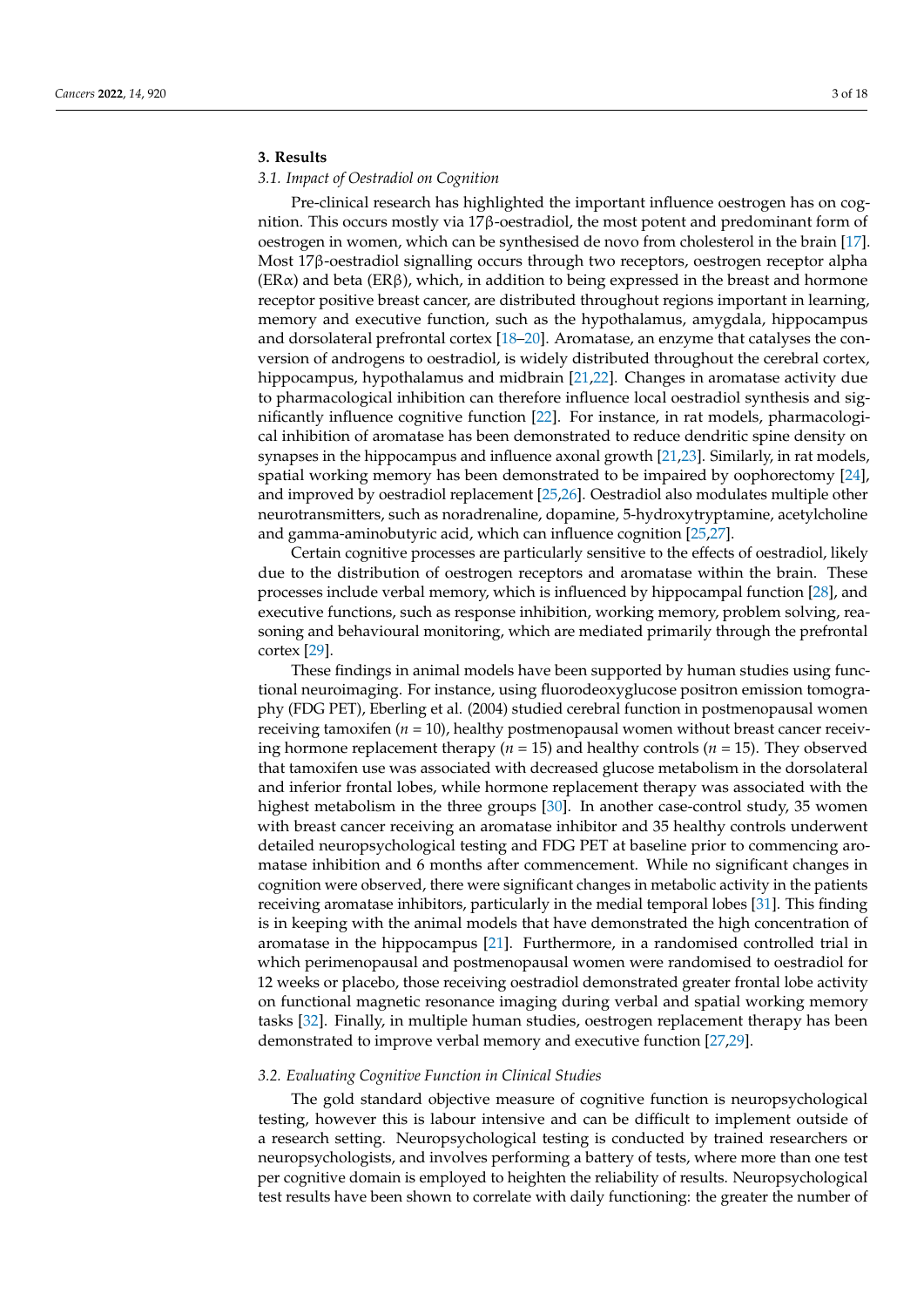# **3. Results**

## *3.1. Impact of Oestradiol on Cognition*

Pre-clinical research has highlighted the important influence oestrogen has on cognition. This occurs mostly via 17β-oestradiol, the most potent and predominant form of oestrogen in women, which can be synthesised de novo from cholesterol in the brain [\[17\]](#page-14-3). Most 17β-oestradiol signalling occurs through two receptors, oestrogen receptor alpha  $(ER\alpha)$  and beta  $(ER\beta)$ , which, in addition to being expressed in the breast and hormone receptor positive breast cancer, are distributed throughout regions important in learning, memory and executive function, such as the hypothalamus, amygdala, hippocampus and dorsolateral prefrontal cortex [\[18](#page-14-4)[–20\]](#page-14-5). Aromatase, an enzyme that catalyses the conversion of androgens to oestradiol, is widely distributed throughout the cerebral cortex, hippocampus, hypothalamus and midbrain [\[21](#page-14-6)[,22\]](#page-14-7). Changes in aromatase activity due to pharmacological inhibition can therefore influence local oestradiol synthesis and significantly influence cognitive function [\[22\]](#page-14-7). For instance, in rat models, pharmacological inhibition of aromatase has been demonstrated to reduce dendritic spine density on synapses in the hippocampus and influence axonal growth [\[21,](#page-14-6)[23\]](#page-14-8). Similarly, in rat models, spatial working memory has been demonstrated to be impaired by oophorectomy [\[24\]](#page-14-9), and improved by oestradiol replacement [\[25](#page-14-10)[,26\]](#page-14-11). Oestradiol also modulates multiple other neurotransmitters, such as noradrenaline, dopamine, 5-hydroxytryptamine, acetylcholine and gamma-aminobutyric acid, which can influence cognition [\[25,](#page-14-10)[27\]](#page-14-12).

Certain cognitive processes are particularly sensitive to the effects of oestradiol, likely due to the distribution of oestrogen receptors and aromatase within the brain. These processes include verbal memory, which is influenced by hippocampal function [\[28\]](#page-14-13), and executive functions, such as response inhibition, working memory, problem solving, reasoning and behavioural monitoring, which are mediated primarily through the prefrontal cortex [\[29\]](#page-14-14).

These findings in animal models have been supported by human studies using functional neuroimaging. For instance, using fluorodeoxyglucose positron emission tomography (FDG PET), Eberling et al. (2004) studied cerebral function in postmenopausal women receiving tamoxifen  $(n = 10)$ , healthy postmenopausal women without breast cancer receiving hormone replacement therapy ( $n = 15$ ) and healthy controls ( $n = 15$ ). They observed that tamoxifen use was associated with decreased glucose metabolism in the dorsolateral and inferior frontal lobes, while hormone replacement therapy was associated with the highest metabolism in the three groups [\[30\]](#page-14-15). In another case-control study, 35 women with breast cancer receiving an aromatase inhibitor and 35 healthy controls underwent detailed neuropsychological testing and FDG PET at baseline prior to commencing aromatase inhibition and 6 months after commencement. While no significant changes in cognition were observed, there were significant changes in metabolic activity in the patients receiving aromatase inhibitors, particularly in the medial temporal lobes [\[31\]](#page-14-16). This finding is in keeping with the animal models that have demonstrated the high concentration of aromatase in the hippocampus [\[21\]](#page-14-6). Furthermore, in a randomised controlled trial in which perimenopausal and postmenopausal women were randomised to oestradiol for 12 weeks or placebo, those receiving oestradiol demonstrated greater frontal lobe activity on functional magnetic resonance imaging during verbal and spatial working memory tasks [\[32\]](#page-14-17). Finally, in multiple human studies, oestrogen replacement therapy has been demonstrated to improve verbal memory and executive function [\[27](#page-14-12)[,29\]](#page-14-14).

## *3.2. Evaluating Cognitive Function in Clinical Studies*

The gold standard objective measure of cognitive function is neuropsychological testing, however this is labour intensive and can be difficult to implement outside of a research setting. Neuropsychological testing is conducted by trained researchers or neuropsychologists, and involves performing a battery of tests, where more than one test per cognitive domain is employed to heighten the reliability of results. Neuropsychological test results have been shown to correlate with daily functioning: the greater the number of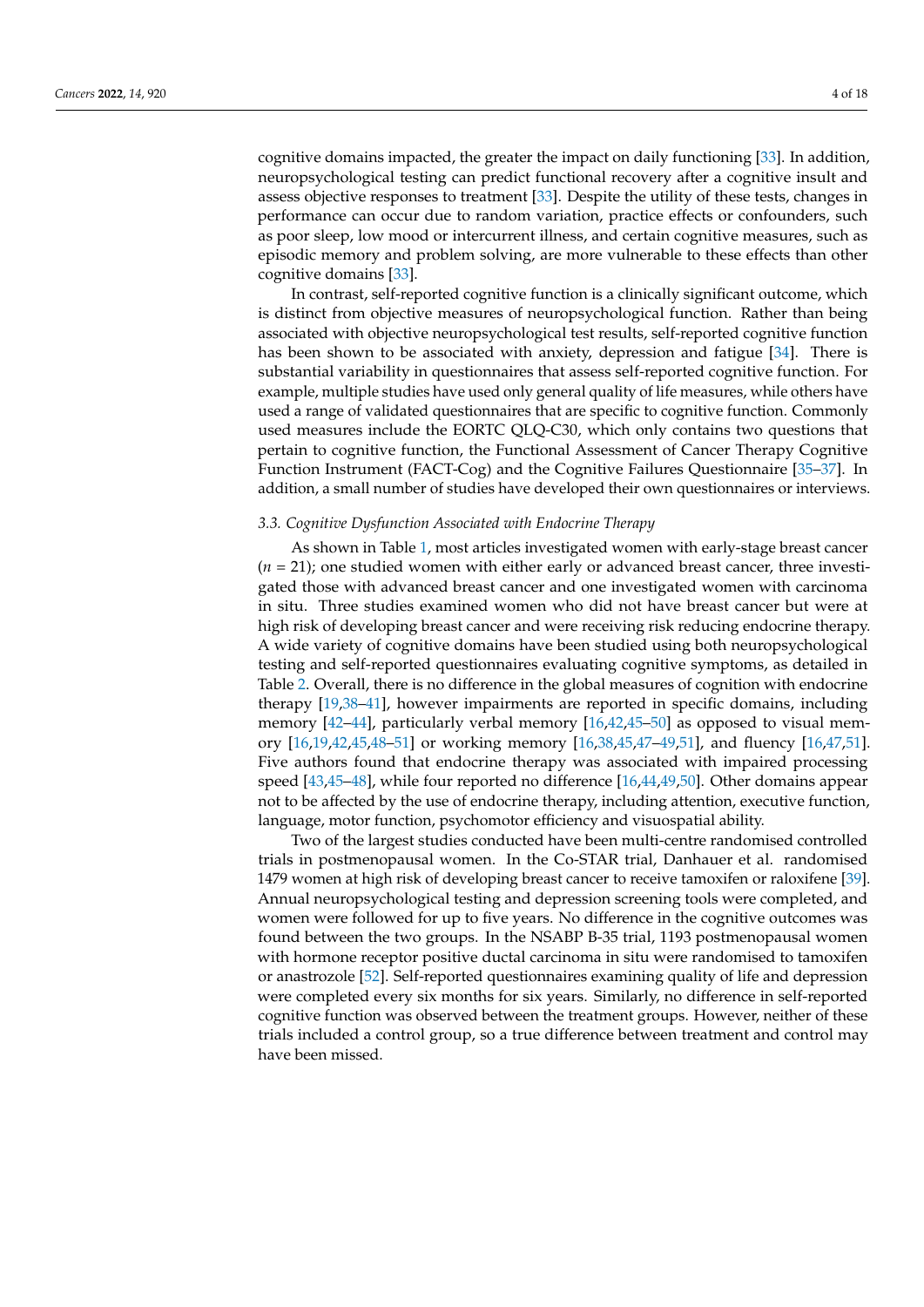cognitive domains impacted, the greater the impact on daily functioning [\[33\]](#page-14-18). In addition, neuropsychological testing can predict functional recovery after a cognitive insult and assess objective responses to treatment [\[33\]](#page-14-18). Despite the utility of these tests, changes in performance can occur due to random variation, practice effects or confounders, such as poor sleep, low mood or intercurrent illness, and certain cognitive measures, such as episodic memory and problem solving, are more vulnerable to these effects than other cognitive domains [\[33\]](#page-14-18).

In contrast, self-reported cognitive function is a clinically significant outcome, which is distinct from objective measures of neuropsychological function. Rather than being associated with objective neuropsychological test results, self-reported cognitive function has been shown to be associated with anxiety, depression and fatigue [\[34\]](#page-14-19). There is substantial variability in questionnaires that assess self-reported cognitive function. For example, multiple studies have used only general quality of life measures, while others have used a range of validated questionnaires that are specific to cognitive function. Commonly used measures include the EORTC QLQ-C30, which only contains two questions that pertain to cognitive function, the Functional Assessment of Cancer Therapy Cognitive Function Instrument (FACT-Cog) and the Cognitive Failures Questionnaire [\[35](#page-14-20)[–37\]](#page-14-21). In addition, a small number of studies have developed their own questionnaires or interviews.

#### *3.3. Cognitive Dysfunction Associated with Endocrine Therapy*

As shown in Table [1,](#page-8-0) most articles investigated women with early-stage breast cancer  $(n = 21)$ ; one studied women with either early or advanced breast cancer, three investigated those with advanced breast cancer and one investigated women with carcinoma in situ. Three studies examined women who did not have breast cancer but were at high risk of developing breast cancer and were receiving risk reducing endocrine therapy. A wide variety of cognitive domains have been studied using both neuropsychological testing and self-reported questionnaires evaluating cognitive symptoms, as detailed in Table [2.](#page-8-1) Overall, there is no difference in the global measures of cognition with endocrine therapy [\[19](#page-14-22)[,38–](#page-14-23)[41\]](#page-15-0), however impairments are reported in specific domains, including memory [\[42](#page-15-1)[–44\]](#page-15-2), particularly verbal memory [\[16](#page-14-2)[,42](#page-15-1)[,45](#page-15-3)[–50\]](#page-15-4) as opposed to visual memory [\[16,](#page-14-2)[19](#page-14-22)[,42,](#page-15-1)[45,](#page-15-3)[48](#page-15-5)[–51\]](#page-15-6) or working memory [\[16](#page-14-2)[,38](#page-14-23)[,45](#page-15-3)[,47](#page-15-7)[–49](#page-15-8)[,51\]](#page-15-6), and fluency [\[16,](#page-14-2)[47,](#page-15-7)[51\]](#page-15-6). Five authors found that endocrine therapy was associated with impaired processing speed [\[43](#page-15-9)[,45](#page-15-3)[–48\]](#page-15-5), while four reported no difference [\[16](#page-14-2)[,44](#page-15-2)[,49](#page-15-8)[,50\]](#page-15-4). Other domains appear not to be affected by the use of endocrine therapy, including attention, executive function, language, motor function, psychomotor efficiency and visuospatial ability.

Two of the largest studies conducted have been multi-centre randomised controlled trials in postmenopausal women. In the Co-STAR trial, Danhauer et al. randomised 1479 women at high risk of developing breast cancer to receive tamoxifen or raloxifene [\[39\]](#page-14-24). Annual neuropsychological testing and depression screening tools were completed, and women were followed for up to five years. No difference in the cognitive outcomes was found between the two groups. In the NSABP B-35 trial, 1193 postmenopausal women with hormone receptor positive ductal carcinoma in situ were randomised to tamoxifen or anastrozole [\[52\]](#page-15-10). Self-reported questionnaires examining quality of life and depression were completed every six months for six years. Similarly, no difference in self-reported cognitive function was observed between the treatment groups. However, neither of these trials included a control group, so a true difference between treatment and control may have been missed.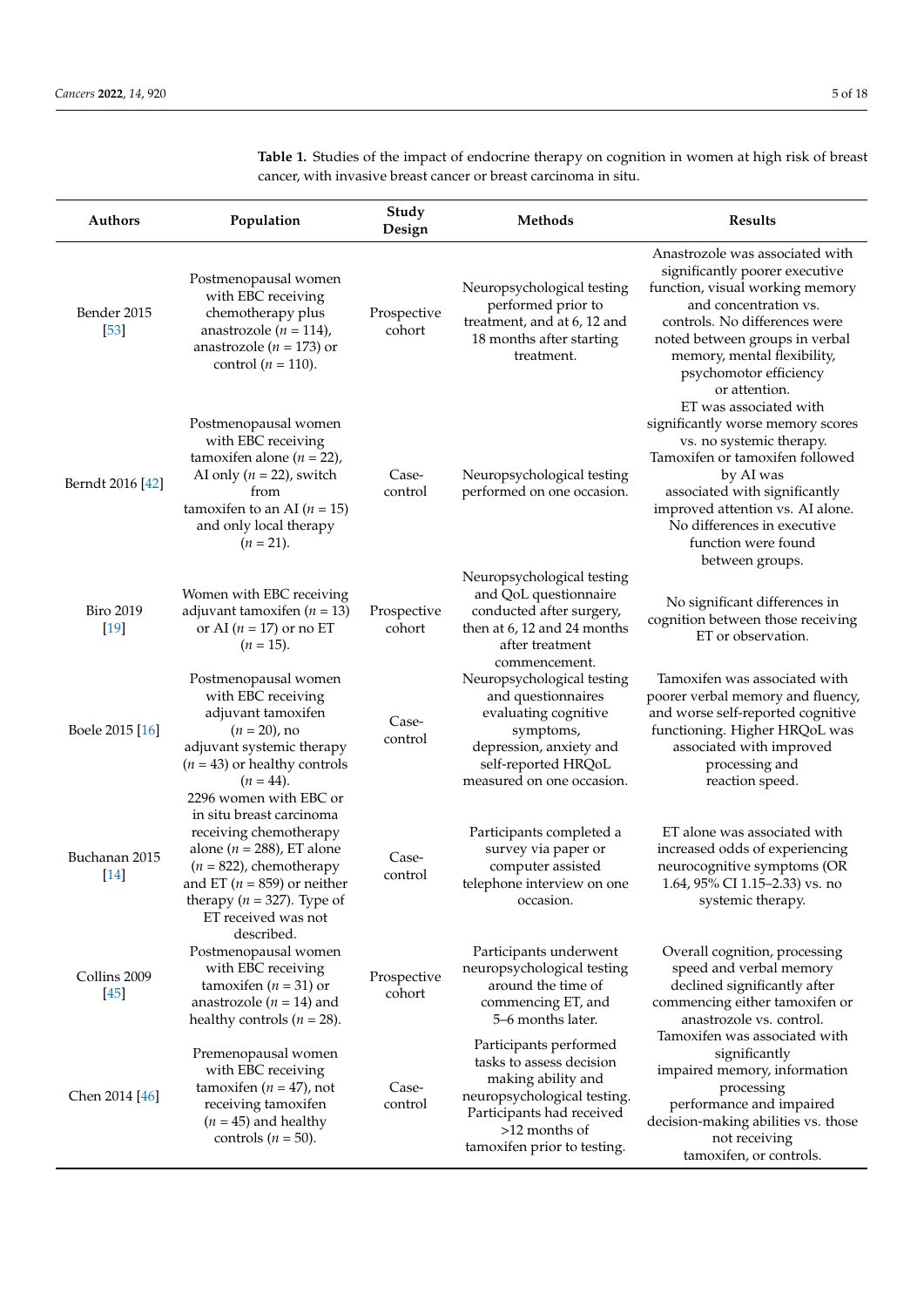Authors Population Study<br>Design **Design Methods Results** Bender 2015 [\[53\]](#page-15-11) Postmenopausal women with EBC receiving chemotherapy plus anastrozole ( $n = 114$ ), anastrozole ( $n = 173$ ) or control  $(n = 110)$ . Prospective cohort Neuropsychological testing performed prior to treatment, and at 6, 12 and 18 months after starting treatment. Anastrozole was associated with significantly poorer executive function, visual working memory and concentration vs. controls. No differences were noted between groups in verbal memory, mental flexibility, psychomotor efficiency or attention. Berndt 2016 [\[42\]](#page-15-1) Postmenopausal women with EBC receiving tamoxifen alone  $(n = 22)$ , AI only  $(n = 22)$ , switch from tamoxifen to an AI ( $n = 15$ ) and only local therapy  $(n = 21)$ . Casecontrol Neuropsychological testing performed on one occasion. ET was associated with significantly worse memory scores vs. no systemic therapy. Tamoxifen or tamoxifen followed by AI was associated with significantly improved attention vs. AI alone. No differences in executive function were found between groups. Biro 2019 [\[19\]](#page-14-22) Women with EBC receiving adjuvant tamoxifen (*n* = 13) or AI (*n* = 17) or no ET  $(n = 15)$ . Prospective cohort Neuropsychological testing and QoL questionnaire conducted after surgery, then at 6, 12 and 24 months after treatment commencement. No significant differences in cognition between those receiving ET or observation. Boele 2015 [\[16\]](#page-14-2) Postmenopausal women with EBC receiving adjuvant tamoxifen  $(n = 20)$ , no adjuvant systemic therapy (*n* = 43) or healthy controls  $(n = 44)$ . Casecontrol Neuropsychological testing and questionnaires evaluating cognitive symptoms, depression, anxiety and self-reported HRQoL measured on one occasion. Tamoxifen was associated with poorer verbal memory and fluency, and worse self-reported cognitive functioning. Higher HRQoL was associated with improved processing and reaction speed. Buchanan 2015 [\[14\]](#page-14-0) 2296 women with EBC or in situ breast carcinoma receiving chemotherapy alone (*n* = 288), ET alone  $(n = 822)$ , chemotherapy and ET ( $n = 859$ ) or neither therapy ( $n = 327$ ). Type of ET received was not described. Casecontrol Participants completed a survey via paper or computer assisted telephone interview on one occasion. ET alone was associated with increased odds of experiencing neurocognitive symptoms (OR 1.64, 95% CI 1.15–2.33) vs. no systemic therapy. Collins 2009 [\[45\]](#page-15-3) Postmenopausal women with EBC receiving tamoxifen  $(n = 31)$  or anastrozole  $(n = 14)$  and healthy controls  $(n = 28)$ . Prospective cohort Participants underwent neuropsychological testing around the time of commencing ET, and 5–6 months later. Overall cognition, processing speed and verbal memory declined significantly after commencing either tamoxifen or anastrozole vs. control. Chen 2014 [\[46\]](#page-15-12) Premenopausal women with EBC receiving tamoxifen  $(n = 47)$ , not receiving tamoxifen  $(n = 45)$  and healthy controls  $(n = 50)$ . Casecontrol Participants performed tasks to assess decision making ability and neuropsychological testing. Participants had received >12 months of tamoxifen prior to testing. Tamoxifen was associated with significantly impaired memory, information processing performance and impaired decision-making abilities vs. those not receiving tamoxifen, or controls.

**Table 1.** Studies of the impact of endocrine therapy on cognition in women at high risk of breast cancer, with invasive breast cancer or breast carcinoma in situ.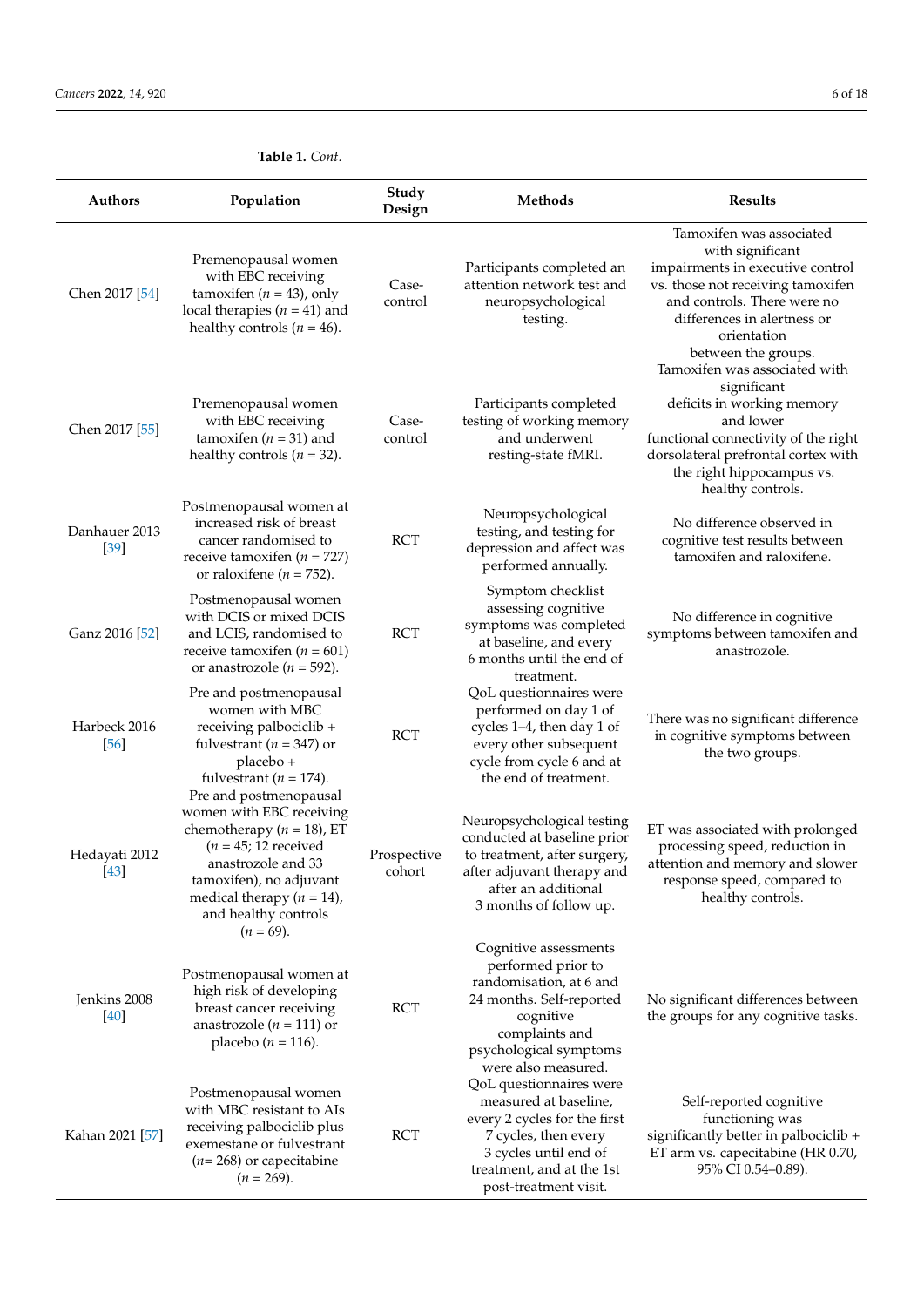|  | Table 1. Cont. |
|--|----------------|
|--|----------------|

| Authors                 | Population                                                                                                                                                                                                                             | Study<br>Design       | Methods                                                                                                                                                                                 | <b>Results</b>                                                                                                                                                                                                                                             |
|-------------------------|----------------------------------------------------------------------------------------------------------------------------------------------------------------------------------------------------------------------------------------|-----------------------|-----------------------------------------------------------------------------------------------------------------------------------------------------------------------------------------|------------------------------------------------------------------------------------------------------------------------------------------------------------------------------------------------------------------------------------------------------------|
| Chen 2017 [54]          | Premenopausal women<br>with EBC receiving<br>tamoxifen ( $n = 43$ ), only<br>local therapies ( $n = 41$ ) and<br>healthy controls ( $n = 46$ ).                                                                                        | Case-<br>control      | Participants completed an<br>attention network test and<br>neuropsychological<br>testing.                                                                                               | Tamoxifen was associated<br>with significant<br>impairments in executive control<br>vs. those not receiving tamoxifen<br>and controls. There were no<br>differences in alertness or<br>orientation<br>between the groups.<br>Tamoxifen was associated with |
| Chen 2017 [55]          | Premenopausal women<br>with EBC receiving<br>tamoxifen ( $n = 31$ ) and<br>healthy controls ( $n = 32$ ).                                                                                                                              | Case-<br>control      | Participants completed<br>testing of working memory<br>and underwent<br>resting-state fMRI.                                                                                             | significant<br>deficits in working memory<br>and lower<br>functional connectivity of the right<br>dorsolateral prefrontal cortex with<br>the right hippocampus vs.<br>healthy controls.                                                                    |
| Danhauer 2013<br>$[39]$ | Postmenopausal women at<br>increased risk of breast<br>cancer randomised to<br>receive tamoxifen ( $n = 727$ )<br>or raloxifene ( $n = 752$ ).                                                                                         | <b>RCT</b>            | Neuropsychological<br>testing, and testing for<br>depression and affect was<br>performed annually.                                                                                      | No difference observed in<br>cognitive test results between<br>tamoxifen and raloxifene.                                                                                                                                                                   |
| Ganz 2016 [52]          | Postmenopausal women<br>with DCIS or mixed DCIS<br>and LCIS, randomised to<br>receive tamoxifen ( $n = 601$ )<br>or anastrozole ( $n = 592$ ).                                                                                         | <b>RCT</b>            | Symptom checklist<br>assessing cognitive<br>symptoms was completed<br>at baseline, and every<br>6 months until the end of<br>treatment.                                                 | No difference in cognitive<br>symptoms between tamoxifen and<br>anastrozole.                                                                                                                                                                               |
| Harbeck 2016<br>[56]    | Pre and postmenopausal<br>women with MBC<br>receiving palbociclib +<br>fulvestrant ( $n = 347$ ) or<br>placebo +<br>fulvestrant ( $n = 174$ ).                                                                                         | <b>RCT</b>            | QoL questionnaires were<br>performed on day 1 of<br>cycles 1-4, then day 1 of<br>every other subsequent<br>cycle from cycle 6 and at<br>the end of treatment.                           | There was no significant difference<br>in cognitive symptoms between<br>the two groups.                                                                                                                                                                    |
| Hedayati 2012<br>$[43]$ | Pre and postmenopausal<br>women with EBC receiving<br>chemotherapy ( $n = 18$ ), ET<br>$(n = 45; 12$ received<br>anastrozole and 33<br>tamoxifen), no adjuvant<br>medical therapy $(n = 14)$ ,<br>and healthy controls<br>$(n = 69)$ . | Prospective<br>cohort | Neuropsychological testing<br>conducted at baseline prior<br>to treatment, after surgery,<br>after adjuvant therapy and<br>after an additional<br>3 months of follow up.                | ET was associated with prolonged<br>processing speed, reduction in<br>attention and memory and slower<br>response speed, compared to<br>healthy controls.                                                                                                  |
| Jenkins 2008<br>[40]    | Postmenopausal women at<br>high risk of developing<br>breast cancer receiving<br>anastrozole ( $n = 111$ ) or<br>placebo ( <i>n</i> = 116).                                                                                            | RCT                   | Cognitive assessments<br>performed prior to<br>randomisation, at 6 and<br>24 months. Self-reported<br>cognitive<br>complaints and<br>psychological symptoms<br>were also measured.      | No significant differences between<br>the groups for any cognitive tasks.                                                                                                                                                                                  |
| Kahan 2021 [57]         | Postmenopausal women<br>with MBC resistant to AIs<br>receiving palbociclib plus<br>exemestane or fulvestrant<br>$(n=268)$ or capecitabine<br>$(n = 269)$ .                                                                             | <b>RCT</b>            | QoL questionnaires were<br>measured at baseline,<br>every 2 cycles for the first<br>7 cycles, then every<br>3 cycles until end of<br>treatment, and at the 1st<br>post-treatment visit. | Self-reported cognitive<br>functioning was<br>significantly better in palbociclib +<br>ET arm vs. capecitabine (HR 0.70,<br>95% CI 0.54-0.89).                                                                                                             |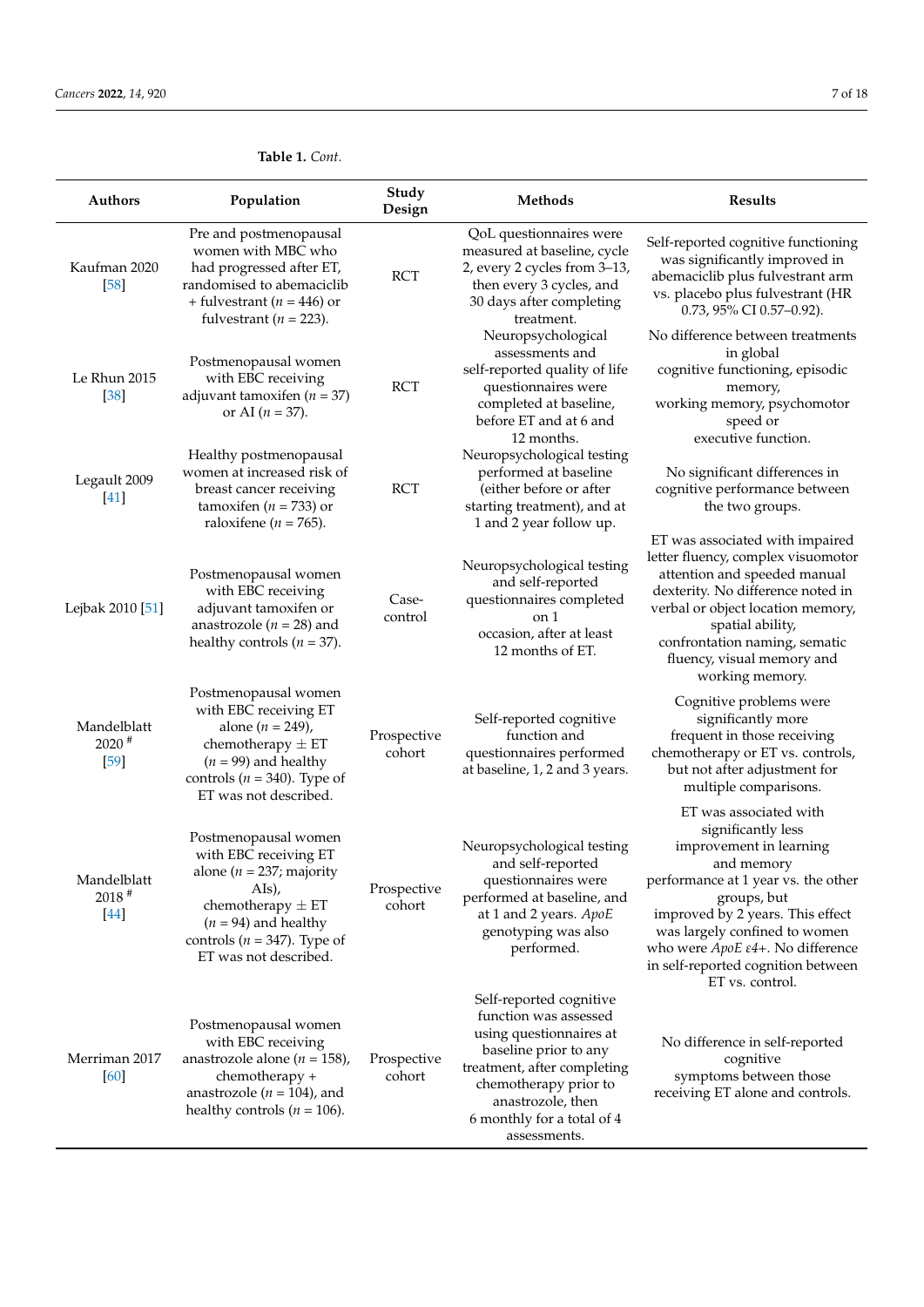| <b>Authors</b>                               | Population                                                                                                                                                                                            | Study<br>Design       | Methods                                                                                                                                                                                                                         | <b>Results</b>                                                                                                                                                                                                                                                                                                |
|----------------------------------------------|-------------------------------------------------------------------------------------------------------------------------------------------------------------------------------------------------------|-----------------------|---------------------------------------------------------------------------------------------------------------------------------------------------------------------------------------------------------------------------------|---------------------------------------------------------------------------------------------------------------------------------------------------------------------------------------------------------------------------------------------------------------------------------------------------------------|
| Kaufman 2020<br>[58]                         | Pre and postmenopausal<br>women with MBC who<br>had progressed after ET,<br>randomised to abemaciclib<br>+ fulvestrant ( $n = 446$ ) or<br>fulvestrant ( $n = 223$ ).                                 | <b>RCT</b>            | QoL questionnaires were<br>measured at baseline, cycle<br>2, every 2 cycles from 3-13,<br>then every 3 cycles, and<br>30 days after completing<br>treatment.<br>Neuropsychological                                              | Self-reported cognitive functioning<br>was significantly improved in<br>abemaciclib plus fulvestrant arm<br>vs. placebo plus fulvestrant (HR<br>0.73, 95% CI 0.57-0.92).<br>No difference between treatments                                                                                                  |
| Le Rhun 2015<br>$[38]$                       | Postmenopausal women<br>with EBC receiving<br>adjuvant tamoxifen ( $n = 37$ )<br>or AI $(n = 37)$ .                                                                                                   | <b>RCT</b>            | assessments and<br>self-reported quality of life<br>questionnaires were<br>completed at baseline,<br>before ET and at 6 and<br>12 months.                                                                                       | in global<br>cognitive functioning, episodic<br>memory,<br>working memory, psychomotor<br>speed or<br>executive function.                                                                                                                                                                                     |
| Legault 2009<br>$[41]$                       | Healthy postmenopausal<br>women at increased risk of<br>breast cancer receiving<br>tamoxifen ( $n = 733$ ) or<br>raloxifene ( $n = 765$ ).                                                            | <b>RCT</b>            | Neuropsychological testing<br>performed at baseline<br>(either before or after<br>starting treatment), and at<br>1 and 2 year follow up.                                                                                        | No significant differences in<br>cognitive performance between<br>the two groups.                                                                                                                                                                                                                             |
| Lejbak 2010 [51]                             | Postmenopausal women<br>with EBC receiving<br>adjuvant tamoxifen or<br>anastrozole ( $n = 28$ ) and<br>healthy controls ( $n = 37$ ).                                                                 | Case-<br>control      | Neuropsychological testing<br>and self-reported<br>questionnaires completed<br>on 1<br>occasion, after at least<br>12 months of ET.                                                                                             | ET was associated with impaired<br>letter fluency, complex visuomotor<br>attention and speeded manual<br>dexterity. No difference noted in<br>verbal or object location memory,<br>spatial ability,<br>confrontation naming, sematic<br>fluency, visual memory and<br>working memory.                         |
| Mandelblatt<br>$2020$ <sup>#</sup><br>$[59]$ | Postmenopausal women<br>with EBC receiving ET<br>alone ( $n = 249$ ),<br>chemotherapy $\pm ET$<br>$(n = 99)$ and healthy<br>controls ( $n = 340$ ). Type of<br>ET was not described.                  | Prospective<br>cohort | Self-reported cognitive<br>function and<br>questionnaires performed<br>at baseline, 1, 2 and 3 years.                                                                                                                           | Cognitive problems were<br>significantly more<br>frequent in those receiving<br>chemotherapy or ET vs. controls,<br>but not after adjustment for<br>multiple comparisons.                                                                                                                                     |
| Mandelblatt<br>$2018$ <sup>#</sup><br>$[44]$ | Postmenopausal women<br>with EBC receiving ET<br>alone ( $n = 237$ ; majority<br>AIs),<br>chemotherapy $\pm ET$<br>$(n = 94)$ and healthy<br>controls ( $n = 347$ ). Type of<br>ET was not described. | Prospective<br>cohort | Neuropsychological testing<br>and self-reported<br>questionnaires were<br>performed at baseline, and<br>at 1 and 2 years. ApoE<br>genotyping was also<br>performed.                                                             | ET was associated with<br>significantly less<br>improvement in learning<br>and memory<br>performance at 1 year vs. the other<br>groups, but<br>improved by 2 years. This effect<br>was largely confined to women<br>who were ApoE ε4+. No difference<br>in self-reported cognition between<br>ET vs. control. |
| Merriman 2017<br>[60]                        | Postmenopausal women<br>with EBC receiving<br>anastrozole alone ( $n = 158$ ),<br>chemotherapy +<br>anastrozole ( $n = 104$ ), and<br>healthy controls ( $n = 106$ ).                                 | Prospective<br>cohort | Self-reported cognitive<br>function was assessed<br>using questionnaires at<br>baseline prior to any<br>treatment, after completing<br>chemotherapy prior to<br>anastrozole, then<br>6 monthly for a total of 4<br>assessments. | No difference in self-reported<br>cognitive<br>symptoms between those<br>receiving ET alone and controls.                                                                                                                                                                                                     |

# **Table 1.** *Cont.*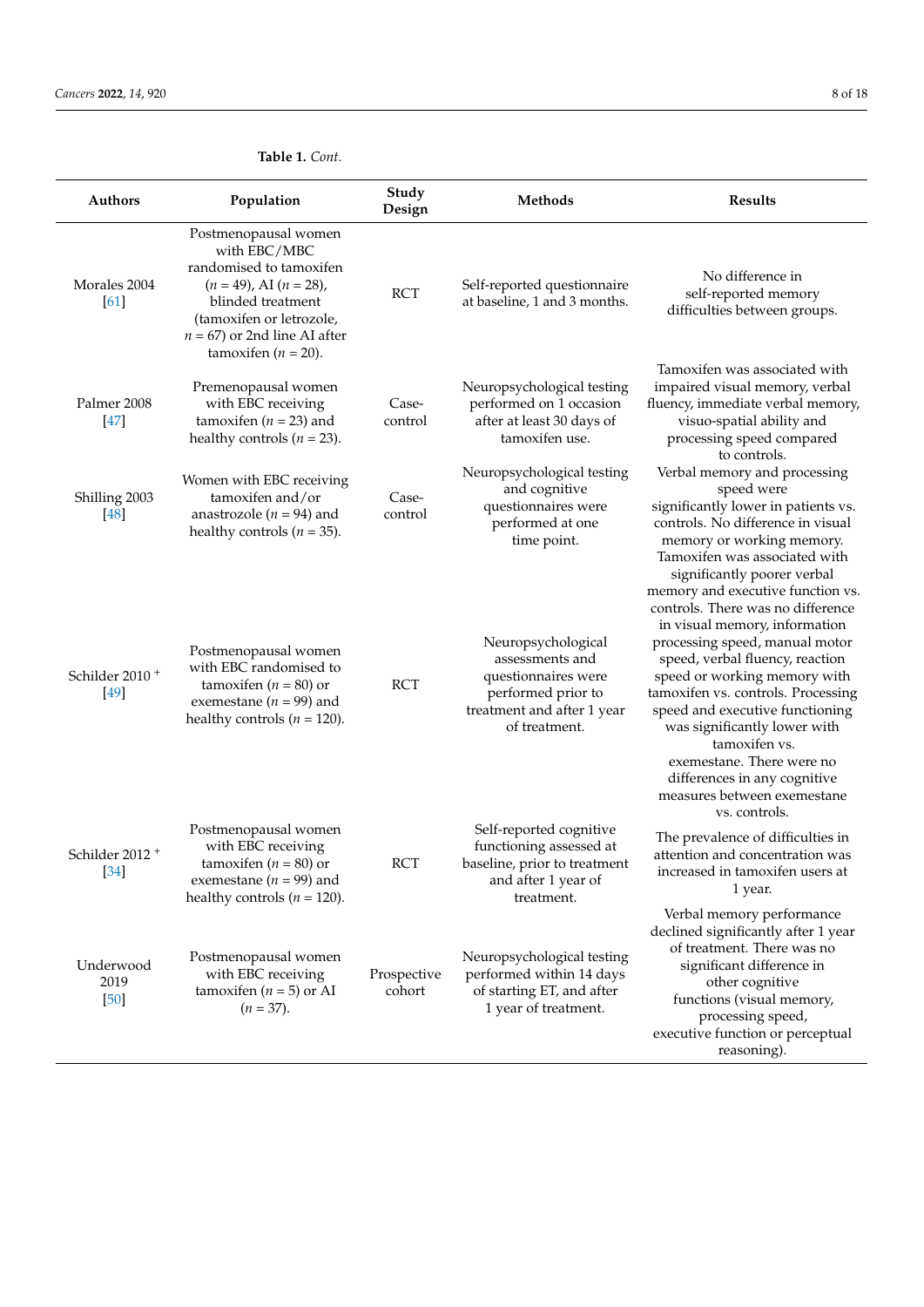|                                    | Table 1. Cont.                                                                                                                                                                                                 |                  |                                                                                                                                   |                                                                                                                                                                                                                                                                                                                                                                                                                                    |
|------------------------------------|----------------------------------------------------------------------------------------------------------------------------------------------------------------------------------------------------------------|------------------|-----------------------------------------------------------------------------------------------------------------------------------|------------------------------------------------------------------------------------------------------------------------------------------------------------------------------------------------------------------------------------------------------------------------------------------------------------------------------------------------------------------------------------------------------------------------------------|
| <b>Authors</b>                     | Population                                                                                                                                                                                                     | Study<br>Design  | <b>Methods</b>                                                                                                                    | <b>Results</b>                                                                                                                                                                                                                                                                                                                                                                                                                     |
| Morales 2004<br>[61]               | Postmenopausal women<br>with EBC/MBC<br>randomised to tamoxifen<br>$(n = 49)$ , AI $(n = 28)$ ,<br>blinded treatment<br>(tamoxifen or letrozole,<br>$n = 67$ ) or 2nd line AI after<br>tamoxifen ( $n = 20$ ). | <b>RCT</b>       | Self-reported questionnaire<br>at baseline, 1 and 3 months.                                                                       | No difference in<br>self-reported memory<br>difficulties between groups.                                                                                                                                                                                                                                                                                                                                                           |
| Palmer 2008<br>$[47]$              | Premenopausal women<br>with EBC receiving<br>tamoxifen ( $n = 23$ ) and<br>healthy controls ( $n = 23$ ).                                                                                                      | Case-<br>control | Neuropsychological testing<br>performed on 1 occasion<br>after at least 30 days of<br>tamoxifen use.                              | Tamoxifen was associated with<br>impaired visual memory, verbal<br>fluency, immediate verbal memory,<br>visuo-spatial ability and<br>processing speed compared<br>to controls.                                                                                                                                                                                                                                                     |
| Shilling 2003<br>[48]              | Women with EBC receiving<br>tamoxifen and/or<br>anastrozole ( $n = 94$ ) and<br>healthy controls ( $n = 35$ ).                                                                                                 | Case-<br>control | Neuropsychological testing<br>and cognitive<br>questionnaires were<br>performed at one<br>time point.                             | Verbal memory and processing<br>speed were<br>significantly lower in patients vs.<br>controls. No difference in visual<br>memory or working memory.<br>Tamoxifen was associated with                                                                                                                                                                                                                                               |
| Schilder 2010 <sup>+</sup><br>[49] | Postmenopausal women<br>with EBC randomised to<br>tamoxifen ( $n = 80$ ) or<br>exemestane ( $n = 99$ ) and<br>healthy controls ( $n = 120$ ).                                                                  | <b>RCT</b>       | Neuropsychological<br>assessments and<br>questionnaires were<br>performed prior to<br>treatment and after 1 year<br>of treatment. | significantly poorer verbal<br>memory and executive function vs.<br>controls. There was no difference<br>in visual memory, information<br>processing speed, manual motor<br>speed, verbal fluency, reaction<br>speed or working memory with<br>tamoxifen vs. controls. Processing<br>speed and executive functioning<br>was significantly lower with<br>tamoxifen vs.<br>exemestane. There were no<br>differences in any cognitive |

|                                                 |                                                                                                                                           |                       |                                                                                                                         | differences in any cognitive<br>measures between exemestane<br>vs. controls.                                                                                                                                           |
|-------------------------------------------------|-------------------------------------------------------------------------------------------------------------------------------------------|-----------------------|-------------------------------------------------------------------------------------------------------------------------|------------------------------------------------------------------------------------------------------------------------------------------------------------------------------------------------------------------------|
| Schilder 2012 <sup>+</sup><br>$\left[34\right]$ | Postmenopausal women<br>with EBC receiving<br>tamoxifen ( $n = 80$ ) or<br>exemestane ( $n = 99$ ) and<br>healthy controls ( $n = 120$ ). | <b>RCT</b>            | Self-reported cognitive<br>functioning assessed at<br>baseline, prior to treatment<br>and after 1 year of<br>treatment. | The prevalence of difficulties in<br>attention and concentration was<br>increased in tamoxifen users at<br>1 year.                                                                                                     |
|                                                 |                                                                                                                                           |                       |                                                                                                                         | Verbal memory performance                                                                                                                                                                                              |
| Underwood<br>2019<br>[50]                       | Postmenopausal women<br>with EBC receiving<br>tamoxifen ( $n = 5$ ) or AI<br>$(n = 37)$ .                                                 | Prospective<br>cohort | Neuropsychological testing<br>performed within 14 days<br>of starting ET, and after<br>1 year of treatment.             | declined significantly after 1 year<br>of treatment. There was no<br>significant difference in<br>other cognitive<br>functions (visual memory,<br>processing speed,<br>executive function or perceptual<br>reasoning). |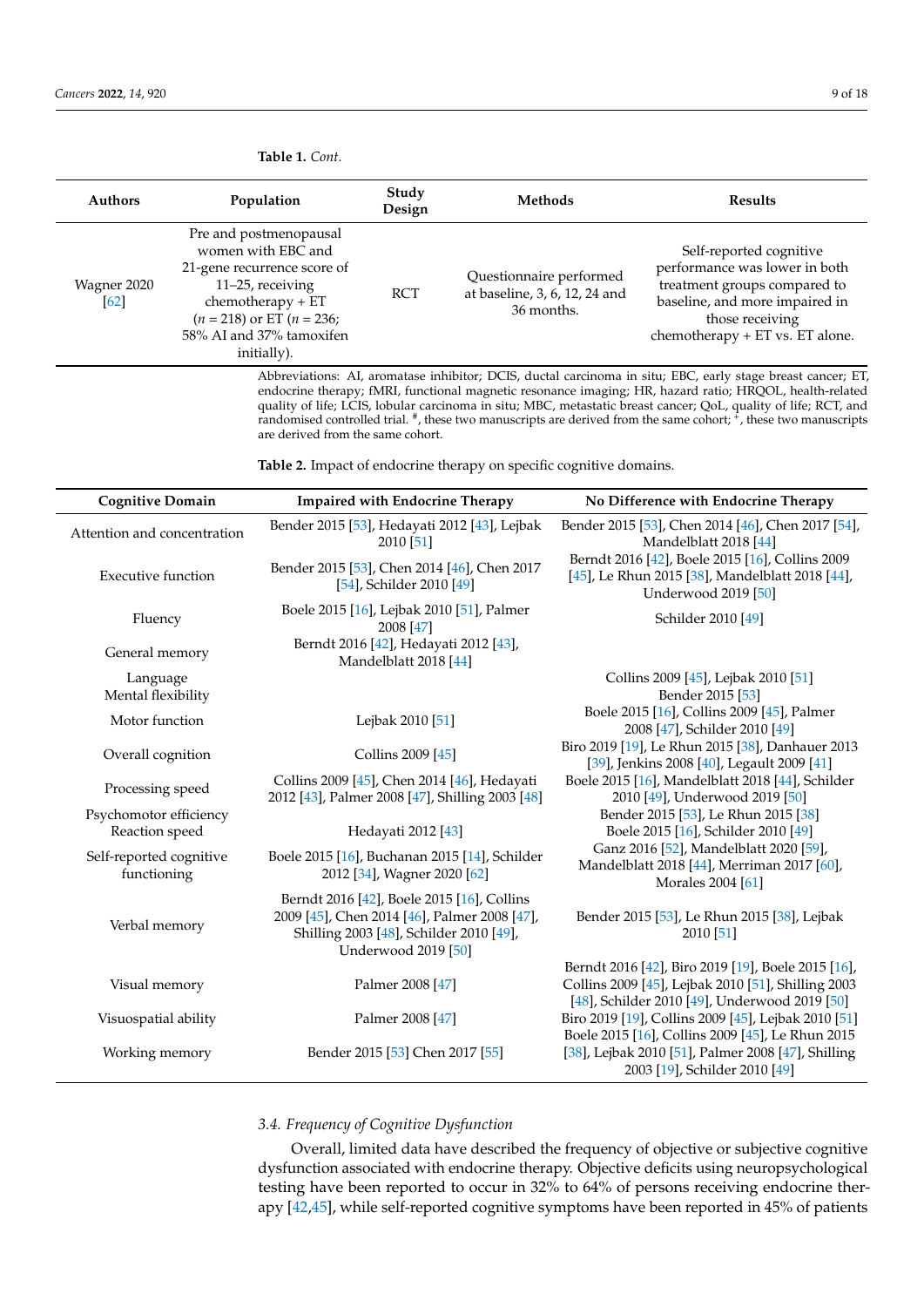| <b>Authors</b>      | Population                                                                                                                                                                                              | Study<br>Design | <b>Methods</b>                                                         | <b>Results</b>                                                                                                                                                                   |
|---------------------|---------------------------------------------------------------------------------------------------------------------------------------------------------------------------------------------------------|-----------------|------------------------------------------------------------------------|----------------------------------------------------------------------------------------------------------------------------------------------------------------------------------|
| Wagner 2020<br>[62] | Pre and postmenopausal<br>women with EBC and<br>21-gene recurrence score of<br>$11-25$ , receiving<br>$chemotherapy + ET$<br>$(n = 218)$ or ET $(n = 236)$ ;<br>58% AI and 37% tamoxifen<br>initially). | <b>RCT</b>      | Questionnaire performed<br>at baseline, 3, 6, 12, 24 and<br>36 months. | Self-reported cognitive<br>performance was lower in both<br>treatment groups compared to<br>baseline, and more impaired in<br>those receiving<br>chemotherapy + ET vs. ET alone. |

Abbreviations: AI, aromatase inhibitor; DCIS, ductal carcinoma in situ; EBC, early stage breast cancer; ET, endocrine therapy; fMRI, functional magnetic resonance imaging; HR, hazard ratio; HRQOL, health-related quality of life; LCIS, lobular carcinoma in situ; MBC, metastatic breast cancer; QoL, quality of life; RCT, and randomised controlled trial. <sup>#</sup>, these two manuscripts are derived from the same cohort; <sup>+</sup>, these two manuscripts are derived from the same cohort.

<span id="page-8-1"></span>**Table 2.** Impact of endocrine therapy on specific cognitive domains.

| <b>Cognitive Domain</b>                  | <b>Impaired with Endocrine Therapy</b>                                                                                                                       | No Difference with Endocrine Therapy                                                                                                                      |
|------------------------------------------|--------------------------------------------------------------------------------------------------------------------------------------------------------------|-----------------------------------------------------------------------------------------------------------------------------------------------------------|
| Attention and concentration              | Bender 2015 [53], Hedayati 2012 [43], Lejbak<br>2010 [51]                                                                                                    | Bender 2015 [53], Chen 2014 [46], Chen 2017 [54],<br>Mandelblatt 2018 [44]                                                                                |
| <b>Executive function</b>                | Bender 2015 [53], Chen 2014 [46], Chen 2017<br>[54], Schilder 2010 [49]                                                                                      | Berndt 2016 [42], Boele 2015 [16], Collins 2009<br>[45], Le Rhun 2015 [38], Mandelblatt 2018 [44],<br><b>Underwood 2019 [50]</b>                          |
| Fluency                                  | Boele 2015 [16], Lejbak 2010 [51], Palmer<br>2008 [47]                                                                                                       | Schilder 2010 [49]                                                                                                                                        |
| General memory                           | Berndt 2016 [42], Hedayati 2012 [43],<br>Mandelblatt 2018 [44]                                                                                               |                                                                                                                                                           |
| Language<br>Mental flexibility           |                                                                                                                                                              | Collins 2009 [45], Lejbak 2010 [51]<br>Bender 2015 [53]                                                                                                   |
| Motor function                           | Lejbak 2010 [51]                                                                                                                                             | Boele 2015 [16], Collins 2009 [45], Palmer<br>2008 [47], Schilder 2010 [49]                                                                               |
| Overall cognition                        | Collins 2009 [45]                                                                                                                                            | Biro 2019 [19], Le Rhun 2015 [38], Danhauer 2013<br>[39], Jenkins 2008 [40], Legault 2009 [41]                                                            |
| Processing speed                         | Collins 2009 [45], Chen 2014 [46], Hedayati<br>2012 [43], Palmer 2008 [47], Shilling 2003 [48]                                                               | Boele 2015 [16], Mandelblatt 2018 [44], Schilder<br>2010 [49], Underwood 2019 [50]                                                                        |
| Psychomotor efficiency<br>Reaction speed | Hedayati 2012 <sup>[43]</sup>                                                                                                                                | Bender 2015 [53], Le Rhun 2015 [38]<br>Boele 2015 [16], Schilder 2010 [49]                                                                                |
| Self-reported cognitive<br>functioning   | Boele 2015 [16], Buchanan 2015 [14], Schilder<br>2012 [34], Wagner 2020 [62]                                                                                 | Ganz 2016 [52], Mandelblatt 2020 [59],<br>Mandelblatt 2018 [44], Merriman 2017 [60],<br>Morales 2004 [61]                                                 |
| Verbal memory                            | Berndt 2016 [42], Boele 2015 [16], Collins<br>2009 [45], Chen 2014 [46], Palmer 2008 [47],<br>Shilling 2003 [48], Schilder 2010 [49],<br>Underwood 2019 [50] | Bender 2015 [53], Le Rhun 2015 [38], Lejbak<br>2010 [51]                                                                                                  |
| Visual memory                            | Palmer 2008 [47]                                                                                                                                             | Berndt 2016 [42], Biro 2019 [19], Boele 2015 [16],<br>Collins 2009 [45], Lejbak 2010 [51], Shilling 2003<br>[48], Schilder 2010 [49], Underwood 2019 [50] |
| Visuospatial ability                     | Palmer 2008 [47]                                                                                                                                             | Biro 2019 [19], Collins 2009 [45], Lejbak 2010 [51]                                                                                                       |
| Working memory                           | Bender 2015 [53] Chen 2017 [55]                                                                                                                              | Boele 2015 [16], Collins 2009 [45], Le Rhun 2015<br>[38], Lejbak 2010 [51], Palmer 2008 [47], Shilling<br>2003 [19], Schilder 2010 [49]                   |

# *3.4. Frequency of Cognitive Dysfunction*

Overall, limited data have described the frequency of objective or subjective cognitive dysfunction associated with endocrine therapy. Objective deficits using neuropsychological testing have been reported to occur in 32% to 64% of persons receiving endocrine therapy [\[42](#page-15-1)[,45\]](#page-15-3), while self-reported cognitive symptoms have been reported in 45% of patients

<span id="page-8-0"></span>**Table 1.** *Cont.*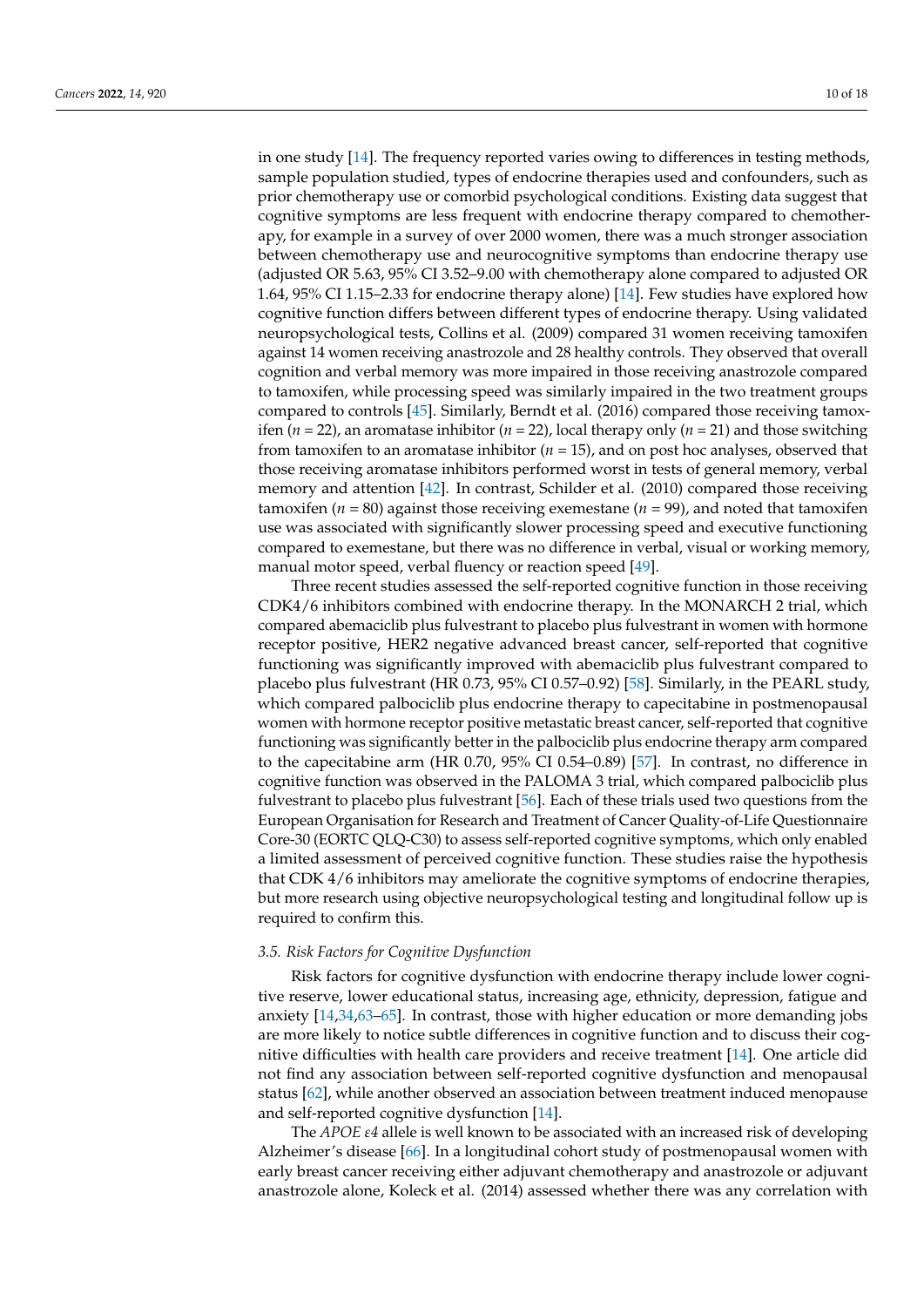in one study [\[14\]](#page-14-0). The frequency reported varies owing to differences in testing methods, sample population studied, types of endocrine therapies used and confounders, such as prior chemotherapy use or comorbid psychological conditions. Existing data suggest that cognitive symptoms are less frequent with endocrine therapy compared to chemotherapy, for example in a survey of over 2000 women, there was a much stronger association between chemotherapy use and neurocognitive symptoms than endocrine therapy use (adjusted OR 5.63, 95% CI 3.52–9.00 with chemotherapy alone compared to adjusted OR 1.64, 95% CI 1.15–2.33 for endocrine therapy alone) [\[14\]](#page-14-0). Few studies have explored how cognitive function differs between different types of endocrine therapy. Using validated neuropsychological tests, Collins et al. (2009) compared 31 women receiving tamoxifen against 14 women receiving anastrozole and 28 healthy controls. They observed that overall cognition and verbal memory was more impaired in those receiving anastrozole compared to tamoxifen, while processing speed was similarly impaired in the two treatment groups compared to controls [\[45\]](#page-15-3). Similarly, Berndt et al. (2016) compared those receiving tamoxifen (*n* = 22), an aromatase inhibitor (*n* = 22), local therapy only (*n* = 21) and those switching from tamoxifen to an aromatase inhibitor (*n* = 15), and on post hoc analyses, observed that those receiving aromatase inhibitors performed worst in tests of general memory, verbal memory and attention [\[42\]](#page-15-1). In contrast, Schilder et al. (2010) compared those receiving tamoxifen ( $n = 80$ ) against those receiving exemestane ( $n = 99$ ), and noted that tamoxifen use was associated with significantly slower processing speed and executive functioning compared to exemestane, but there was no difference in verbal, visual or working memory, manual motor speed, verbal fluency or reaction speed [\[49\]](#page-15-8).

Three recent studies assessed the self-reported cognitive function in those receiving CDK4/6 inhibitors combined with endocrine therapy. In the MONARCH 2 trial, which compared abemaciclib plus fulvestrant to placebo plus fulvestrant in women with hormone receptor positive, HER2 negative advanced breast cancer, self-reported that cognitive functioning was significantly improved with abemaciclib plus fulvestrant compared to placebo plus fulvestrant (HR 0.73, 95% CI 0.57–0.92) [\[58\]](#page-15-17). Similarly, in the PEARL study, which compared palbociclib plus endocrine therapy to capecitabine in postmenopausal women with hormone receptor positive metastatic breast cancer, self-reported that cognitive functioning was significantly better in the palbociclib plus endocrine therapy arm compared to the capecitabine arm (HR 0.70, 95% CI 0.54–0.89) [\[57\]](#page-15-16). In contrast, no difference in cognitive function was observed in the PALOMA 3 trial, which compared palbociclib plus fulvestrant to placebo plus fulvestrant [\[56\]](#page-15-15). Each of these trials used two questions from the European Organisation for Research and Treatment of Cancer Quality-of-Life Questionnaire Core-30 (EORTC QLQ-C30) to assess self-reported cognitive symptoms, which only enabled a limited assessment of perceived cognitive function. These studies raise the hypothesis that CDK 4/6 inhibitors may ameliorate the cognitive symptoms of endocrine therapies, but more research using objective neuropsychological testing and longitudinal follow up is required to confirm this.

### *3.5. Risk Factors for Cognitive Dysfunction*

Risk factors for cognitive dysfunction with endocrine therapy include lower cognitive reserve, lower educational status, increasing age, ethnicity, depression, fatigue and anxiety [\[14,](#page-14-0)[34,](#page-14-19)[63–](#page-16-1)[65\]](#page-16-2). In contrast, those with higher education or more demanding jobs are more likely to notice subtle differences in cognitive function and to discuss their cognitive difficulties with health care providers and receive treatment [\[14\]](#page-14-0). One article did not find any association between self-reported cognitive dysfunction and menopausal status [\[62\]](#page-16-0), while another observed an association between treatment induced menopause and self-reported cognitive dysfunction [\[14\]](#page-14-0).

The *APOE ε4* allele is well known to be associated with an increased risk of developing Alzheimer's disease [\[66\]](#page-16-3). In a longitudinal cohort study of postmenopausal women with early breast cancer receiving either adjuvant chemotherapy and anastrozole or adjuvant anastrozole alone, Koleck et al. (2014) assessed whether there was any correlation with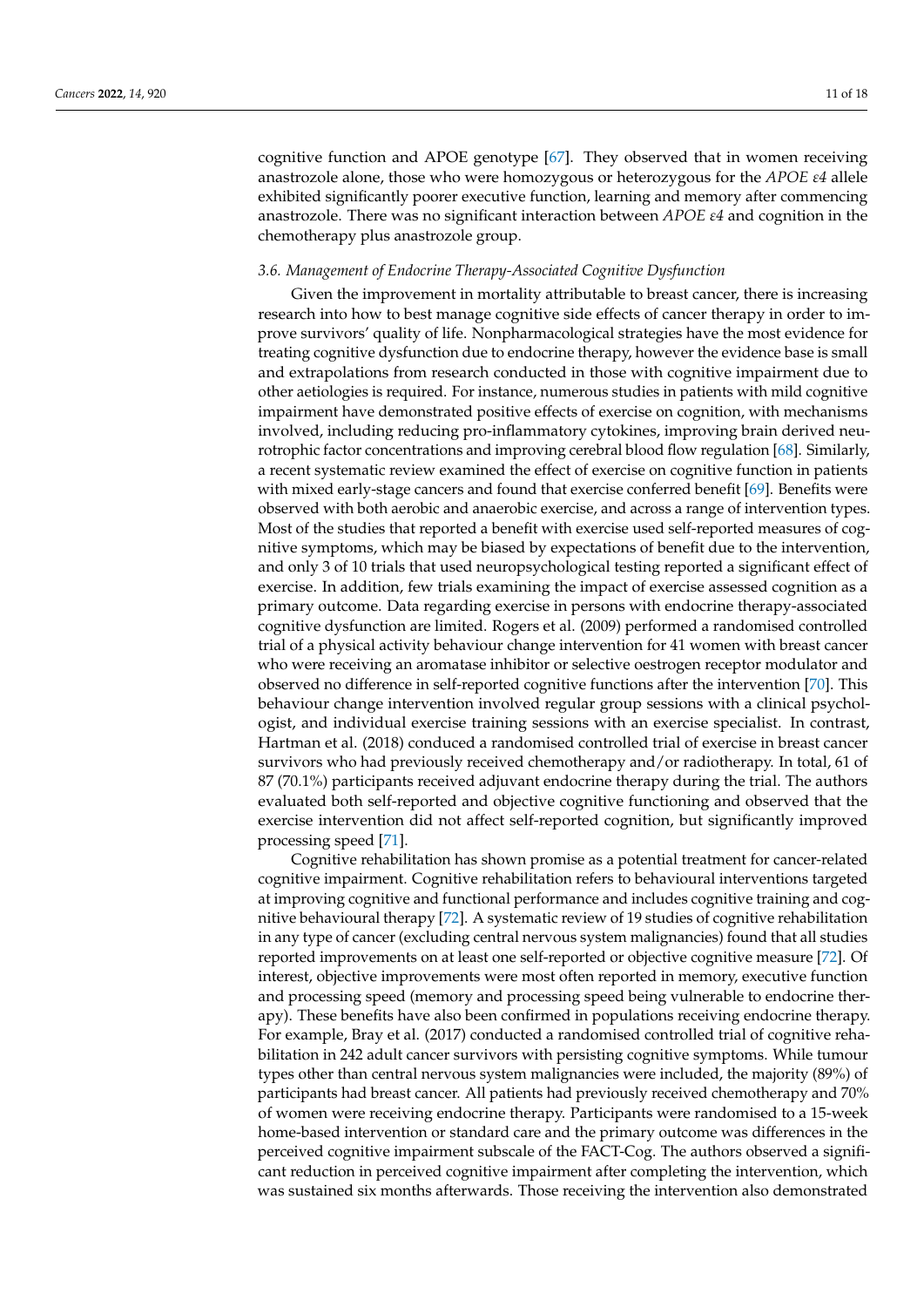cognitive function and APOE genotype [\[67\]](#page-16-4). They observed that in women receiving anastrozole alone, those who were homozygous or heterozygous for the *APOE ε4* allele exhibited significantly poorer executive function, learning and memory after commencing anastrozole. There was no significant interaction between *APOE ε4* and cognition in the chemotherapy plus anastrozole group.

## *3.6. Management of Endocrine Therapy-Associated Cognitive Dysfunction*

Given the improvement in mortality attributable to breast cancer, there is increasing research into how to best manage cognitive side effects of cancer therapy in order to improve survivors' quality of life. Nonpharmacological strategies have the most evidence for treating cognitive dysfunction due to endocrine therapy, however the evidence base is small and extrapolations from research conducted in those with cognitive impairment due to other aetiologies is required. For instance, numerous studies in patients with mild cognitive impairment have demonstrated positive effects of exercise on cognition, with mechanisms involved, including reducing pro-inflammatory cytokines, improving brain derived neurotrophic factor concentrations and improving cerebral blood flow regulation [\[68\]](#page-16-5). Similarly, a recent systematic review examined the effect of exercise on cognitive function in patients with mixed early-stage cancers and found that exercise conferred benefit [\[69\]](#page-16-6). Benefits were observed with both aerobic and anaerobic exercise, and across a range of intervention types. Most of the studies that reported a benefit with exercise used self-reported measures of cognitive symptoms, which may be biased by expectations of benefit due to the intervention, and only 3 of 10 trials that used neuropsychological testing reported a significant effect of exercise. In addition, few trials examining the impact of exercise assessed cognition as a primary outcome. Data regarding exercise in persons with endocrine therapy-associated cognitive dysfunction are limited. Rogers et al. (2009) performed a randomised controlled trial of a physical activity behaviour change intervention for 41 women with breast cancer who were receiving an aromatase inhibitor or selective oestrogen receptor modulator and observed no difference in self-reported cognitive functions after the intervention [\[70\]](#page-16-7). This behaviour change intervention involved regular group sessions with a clinical psychologist, and individual exercise training sessions with an exercise specialist. In contrast, Hartman et al. (2018) conduced a randomised controlled trial of exercise in breast cancer survivors who had previously received chemotherapy and/or radiotherapy. In total, 61 of 87 (70.1%) participants received adjuvant endocrine therapy during the trial. The authors evaluated both self-reported and objective cognitive functioning and observed that the exercise intervention did not affect self-reported cognition, but significantly improved processing speed [\[71\]](#page-16-8).

Cognitive rehabilitation has shown promise as a potential treatment for cancer-related cognitive impairment. Cognitive rehabilitation refers to behavioural interventions targeted at improving cognitive and functional performance and includes cognitive training and cognitive behavioural therapy [\[72\]](#page-16-9). A systematic review of 19 studies of cognitive rehabilitation in any type of cancer (excluding central nervous system malignancies) found that all studies reported improvements on at least one self-reported or objective cognitive measure [\[72\]](#page-16-9). Of interest, objective improvements were most often reported in memory, executive function and processing speed (memory and processing speed being vulnerable to endocrine therapy). These benefits have also been confirmed in populations receiving endocrine therapy. For example, Bray et al. (2017) conducted a randomised controlled trial of cognitive rehabilitation in 242 adult cancer survivors with persisting cognitive symptoms. While tumour types other than central nervous system malignancies were included, the majority (89%) of participants had breast cancer. All patients had previously received chemotherapy and 70% of women were receiving endocrine therapy. Participants were randomised to a 15-week home-based intervention or standard care and the primary outcome was differences in the perceived cognitive impairment subscale of the FACT-Cog. The authors observed a significant reduction in perceived cognitive impairment after completing the intervention, which was sustained six months afterwards. Those receiving the intervention also demonstrated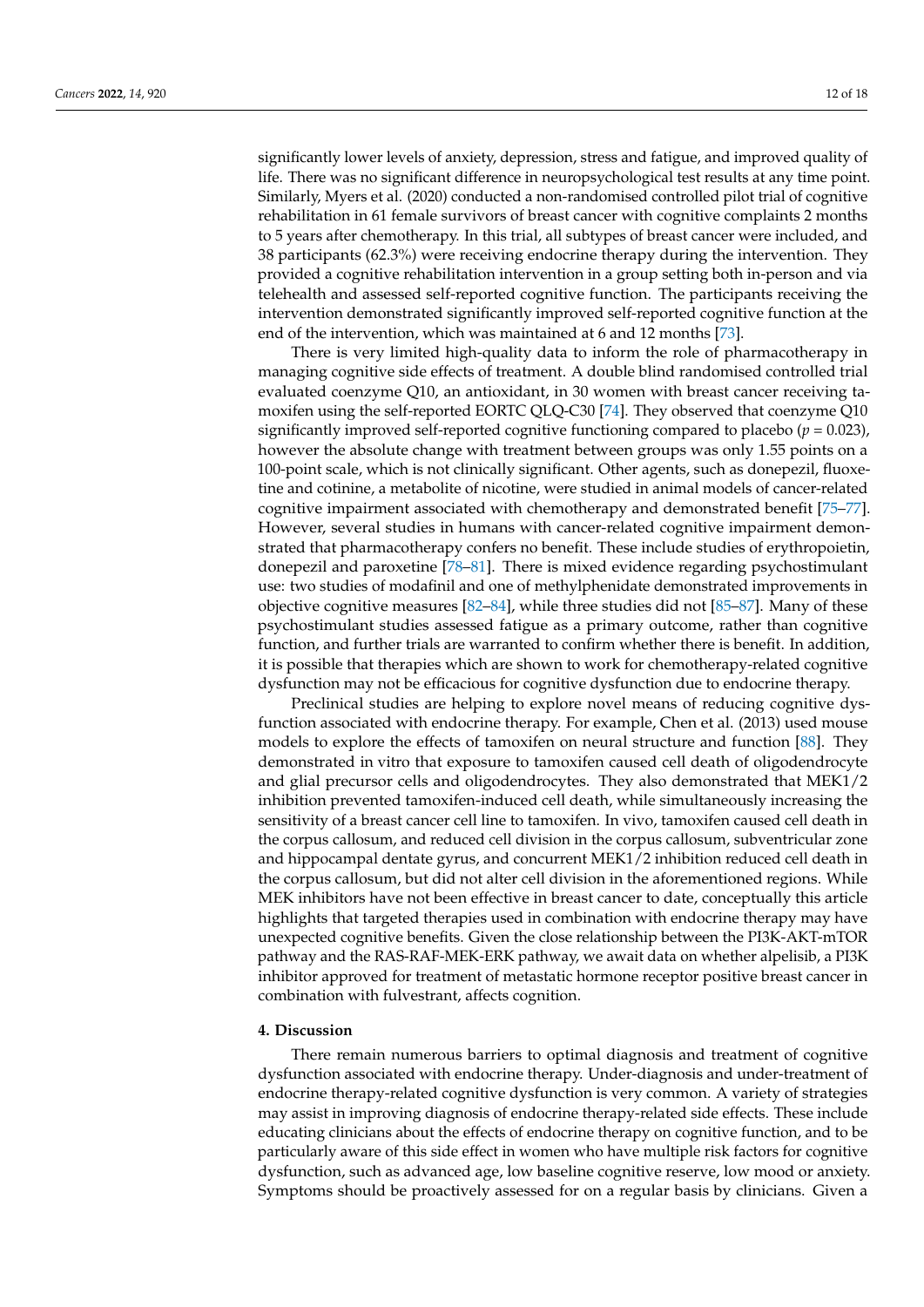significantly lower levels of anxiety, depression, stress and fatigue, and improved quality of life. There was no significant difference in neuropsychological test results at any time point. Similarly, Myers et al. (2020) conducted a non-randomised controlled pilot trial of cognitive rehabilitation in 61 female survivors of breast cancer with cognitive complaints 2 months to 5 years after chemotherapy. In this trial, all subtypes of breast cancer were included, and 38 participants (62.3%) were receiving endocrine therapy during the intervention. They provided a cognitive rehabilitation intervention in a group setting both in-person and via telehealth and assessed self-reported cognitive function. The participants receiving the intervention demonstrated significantly improved self-reported cognitive function at the end of the intervention, which was maintained at 6 and 12 months [\[73\]](#page-16-10).

There is very limited high-quality data to inform the role of pharmacotherapy in managing cognitive side effects of treatment. A double blind randomised controlled trial evaluated coenzyme Q10, an antioxidant, in 30 women with breast cancer receiving tamoxifen using the self-reported EORTC QLQ-C30 [\[74\]](#page-16-11). They observed that coenzyme Q10 significantly improved self-reported cognitive functioning compared to placebo (*p* = 0.023), however the absolute change with treatment between groups was only 1.55 points on a 100-point scale, which is not clinically significant. Other agents, such as donepezil, fluoxetine and cotinine, a metabolite of nicotine, were studied in animal models of cancer-related cognitive impairment associated with chemotherapy and demonstrated benefit [\[75](#page-16-12)[–77\]](#page-16-13). However, several studies in humans with cancer-related cognitive impairment demonstrated that pharmacotherapy confers no benefit. These include studies of erythropoietin, donepezil and paroxetine [\[78](#page-16-14)[–81\]](#page-16-15). There is mixed evidence regarding psychostimulant use: two studies of modafinil and one of methylphenidate demonstrated improvements in objective cognitive measures [\[82](#page-16-16)[–84\]](#page-17-0), while three studies did not [\[85](#page-17-1)[–87\]](#page-17-2). Many of these psychostimulant studies assessed fatigue as a primary outcome, rather than cognitive function, and further trials are warranted to confirm whether there is benefit. In addition, it is possible that therapies which are shown to work for chemotherapy-related cognitive dysfunction may not be efficacious for cognitive dysfunction due to endocrine therapy.

Preclinical studies are helping to explore novel means of reducing cognitive dysfunction associated with endocrine therapy. For example, Chen et al. (2013) used mouse models to explore the effects of tamoxifen on neural structure and function [\[88\]](#page-17-3). They demonstrated in vitro that exposure to tamoxifen caused cell death of oligodendrocyte and glial precursor cells and oligodendrocytes. They also demonstrated that MEK1/2 inhibition prevented tamoxifen-induced cell death, while simultaneously increasing the sensitivity of a breast cancer cell line to tamoxifen. In vivo, tamoxifen caused cell death in the corpus callosum, and reduced cell division in the corpus callosum, subventricular zone and hippocampal dentate gyrus, and concurrent MEK1/2 inhibition reduced cell death in the corpus callosum, but did not alter cell division in the aforementioned regions. While MEK inhibitors have not been effective in breast cancer to date, conceptually this article highlights that targeted therapies used in combination with endocrine therapy may have unexpected cognitive benefits. Given the close relationship between the PI3K-AKT-mTOR pathway and the RAS-RAF-MEK-ERK pathway, we await data on whether alpelisib, a PI3K inhibitor approved for treatment of metastatic hormone receptor positive breast cancer in combination with fulvestrant, affects cognition.

### **4. Discussion**

There remain numerous barriers to optimal diagnosis and treatment of cognitive dysfunction associated with endocrine therapy. Under-diagnosis and under-treatment of endocrine therapy-related cognitive dysfunction is very common. A variety of strategies may assist in improving diagnosis of endocrine therapy-related side effects. These include educating clinicians about the effects of endocrine therapy on cognitive function, and to be particularly aware of this side effect in women who have multiple risk factors for cognitive dysfunction, such as advanced age, low baseline cognitive reserve, low mood or anxiety. Symptoms should be proactively assessed for on a regular basis by clinicians. Given a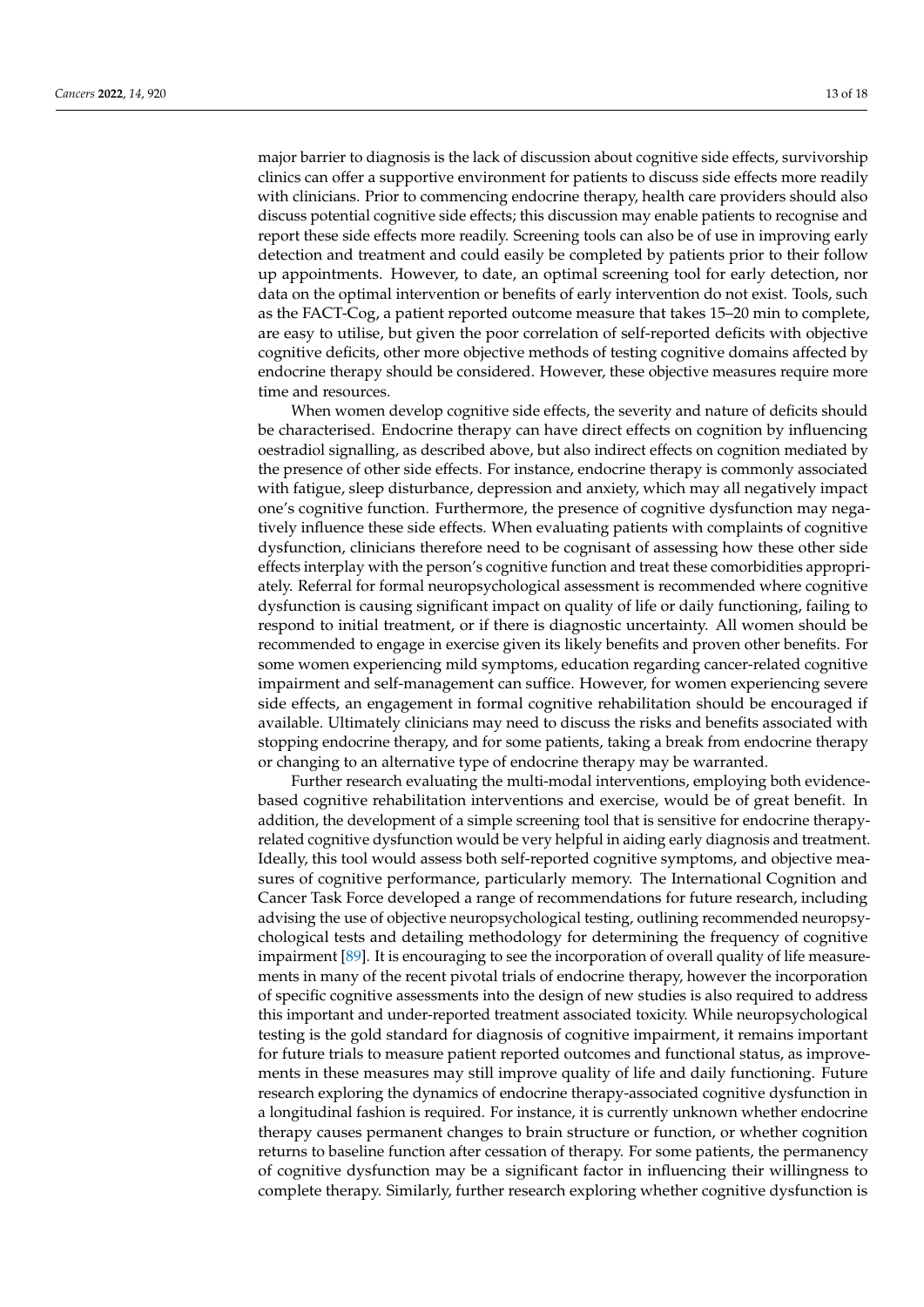major barrier to diagnosis is the lack of discussion about cognitive side effects, survivorship clinics can offer a supportive environment for patients to discuss side effects more readily with clinicians. Prior to commencing endocrine therapy, health care providers should also discuss potential cognitive side effects; this discussion may enable patients to recognise and report these side effects more readily. Screening tools can also be of use in improving early detection and treatment and could easily be completed by patients prior to their follow up appointments. However, to date, an optimal screening tool for early detection, nor data on the optimal intervention or benefits of early intervention do not exist. Tools, such as the FACT-Cog, a patient reported outcome measure that takes 15–20 min to complete, are easy to utilise, but given the poor correlation of self-reported deficits with objective cognitive deficits, other more objective methods of testing cognitive domains affected by endocrine therapy should be considered. However, these objective measures require more time and resources.

When women develop cognitive side effects, the severity and nature of deficits should be characterised. Endocrine therapy can have direct effects on cognition by influencing oestradiol signalling, as described above, but also indirect effects on cognition mediated by the presence of other side effects. For instance, endocrine therapy is commonly associated with fatigue, sleep disturbance, depression and anxiety, which may all negatively impact one's cognitive function. Furthermore, the presence of cognitive dysfunction may negatively influence these side effects. When evaluating patients with complaints of cognitive dysfunction, clinicians therefore need to be cognisant of assessing how these other side effects interplay with the person's cognitive function and treat these comorbidities appropriately. Referral for formal neuropsychological assessment is recommended where cognitive dysfunction is causing significant impact on quality of life or daily functioning, failing to respond to initial treatment, or if there is diagnostic uncertainty. All women should be recommended to engage in exercise given its likely benefits and proven other benefits. For some women experiencing mild symptoms, education regarding cancer-related cognitive impairment and self-management can suffice. However, for women experiencing severe side effects, an engagement in formal cognitive rehabilitation should be encouraged if available. Ultimately clinicians may need to discuss the risks and benefits associated with stopping endocrine therapy, and for some patients, taking a break from endocrine therapy or changing to an alternative type of endocrine therapy may be warranted.

Further research evaluating the multi-modal interventions, employing both evidencebased cognitive rehabilitation interventions and exercise, would be of great benefit. In addition, the development of a simple screening tool that is sensitive for endocrine therapyrelated cognitive dysfunction would be very helpful in aiding early diagnosis and treatment. Ideally, this tool would assess both self-reported cognitive symptoms, and objective measures of cognitive performance, particularly memory. The International Cognition and Cancer Task Force developed a range of recommendations for future research, including advising the use of objective neuropsychological testing, outlining recommended neuropsychological tests and detailing methodology for determining the frequency of cognitive impairment [\[89\]](#page-17-4). It is encouraging to see the incorporation of overall quality of life measurements in many of the recent pivotal trials of endocrine therapy, however the incorporation of specific cognitive assessments into the design of new studies is also required to address this important and under-reported treatment associated toxicity. While neuropsychological testing is the gold standard for diagnosis of cognitive impairment, it remains important for future trials to measure patient reported outcomes and functional status, as improvements in these measures may still improve quality of life and daily functioning. Future research exploring the dynamics of endocrine therapy-associated cognitive dysfunction in a longitudinal fashion is required. For instance, it is currently unknown whether endocrine therapy causes permanent changes to brain structure or function, or whether cognition returns to baseline function after cessation of therapy. For some patients, the permanency of cognitive dysfunction may be a significant factor in influencing their willingness to complete therapy. Similarly, further research exploring whether cognitive dysfunction is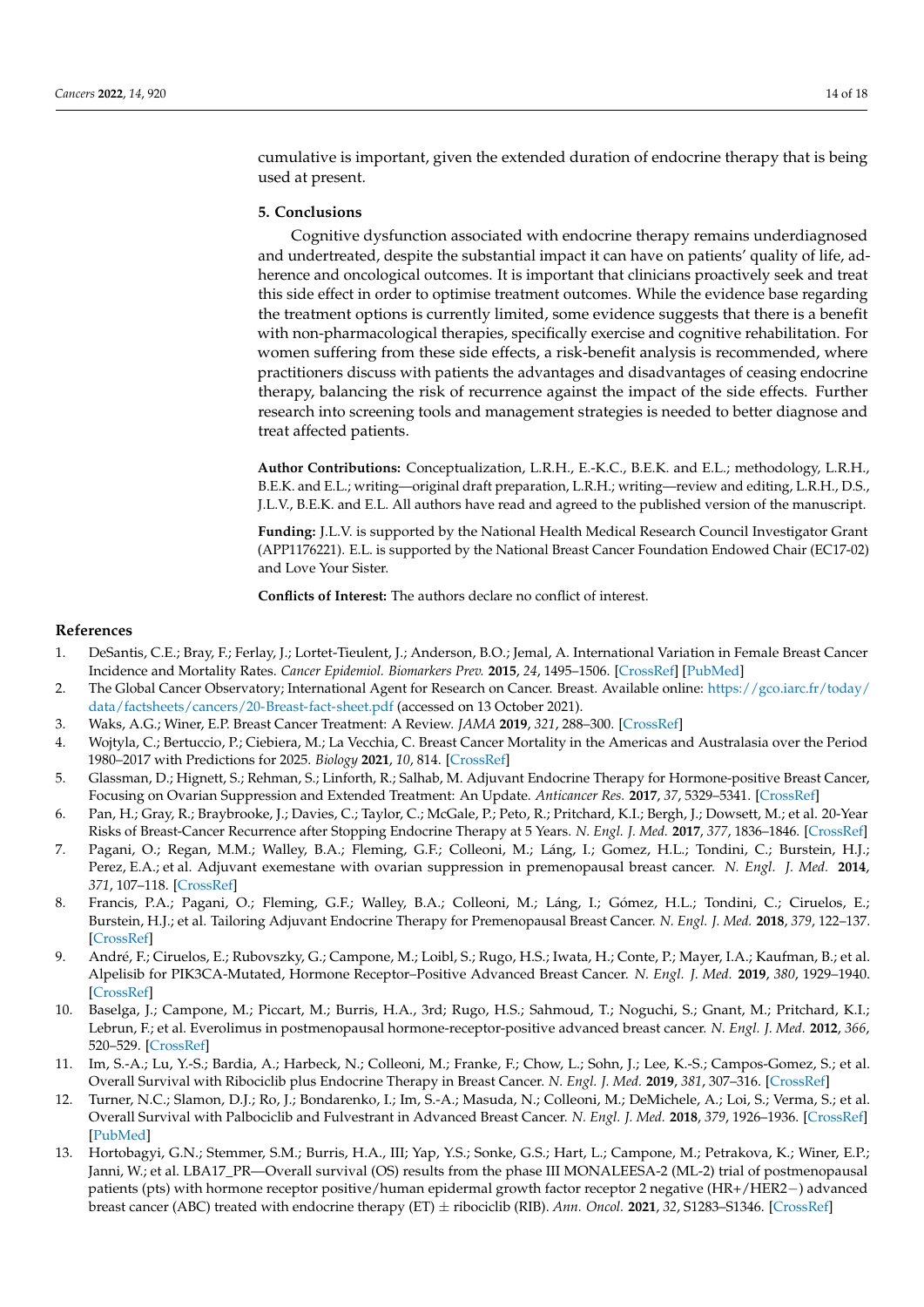cumulative is important, given the extended duration of endocrine therapy that is being used at present.

## **5. Conclusions**

Cognitive dysfunction associated with endocrine therapy remains underdiagnosed and undertreated, despite the substantial impact it can have on patients' quality of life, adherence and oncological outcomes. It is important that clinicians proactively seek and treat this side effect in order to optimise treatment outcomes. While the evidence base regarding the treatment options is currently limited, some evidence suggests that there is a benefit with non-pharmacological therapies, specifically exercise and cognitive rehabilitation. For women suffering from these side effects, a risk-benefit analysis is recommended, where practitioners discuss with patients the advantages and disadvantages of ceasing endocrine therapy, balancing the risk of recurrence against the impact of the side effects. Further research into screening tools and management strategies is needed to better diagnose and treat affected patients.

**Author Contributions:** Conceptualization, L.R.H., E.-K.C., B.E.K. and E.L.; methodology, L.R.H., B.E.K. and E.L.; writing—original draft preparation, L.R.H.; writing—review and editing, L.R.H., D.S., J.L.V., B.E.K. and E.L. All authors have read and agreed to the published version of the manuscript.

**Funding:** J.L.V. is supported by the National Health Medical Research Council Investigator Grant (APP1176221). E.L. is supported by the National Breast Cancer Foundation Endowed Chair (EC17-02) and Love Your Sister.

**Conflicts of Interest:** The authors declare no conflict of interest.

#### **References**

- <span id="page-13-0"></span>1. DeSantis, C.E.; Bray, F.; Ferlay, J.; Lortet-Tieulent, J.; Anderson, B.O.; Jemal, A. International Variation in Female Breast Cancer Incidence and Mortality Rates. *Cancer Epidemiol. Biomarkers Prev.* **2015**, *24*, 1495–1506. [\[CrossRef\]](http://doi.org/10.1158/1055-9965.EPI-15-0535) [\[PubMed\]](http://www.ncbi.nlm.nih.gov/pubmed/26359465)
- <span id="page-13-1"></span>2. The Global Cancer Observatory; International Agent for Research on Cancer. Breast. Available online: [https://gco.iarc.fr/today/](https://gco.iarc.fr/today/data/factsheets/cancers/20-Breast-fact-sheet.pdf) [data/factsheets/cancers/20-Breast-fact-sheet.pdf](https://gco.iarc.fr/today/data/factsheets/cancers/20-Breast-fact-sheet.pdf) (accessed on 13 October 2021).
- <span id="page-13-2"></span>3. Waks, A.G.; Winer, E.P. Breast Cancer Treatment: A Review. *JAMA* **2019**, *321*, 288–300. [\[CrossRef\]](http://doi.org/10.1001/jama.2018.19323)
- <span id="page-13-3"></span>4. Wojtyla, C.; Bertuccio, P.; Ciebiera, M.; La Vecchia, C. Breast Cancer Mortality in the Americas and Australasia over the Period 1980–2017 with Predictions for 2025. *Biology* **2021**, *10*, 814. [\[CrossRef\]](http://doi.org/10.3390/biology10080814)
- <span id="page-13-4"></span>5. Glassman, D.; Hignett, S.; Rehman, S.; Linforth, R.; Salhab, M. Adjuvant Endocrine Therapy for Hormone-positive Breast Cancer, Focusing on Ovarian Suppression and Extended Treatment: An Update. *Anticancer Res.* **2017**, *37*, 5329–5341. [\[CrossRef\]](http://doi.org/10.21873/anticanres.11959)
- <span id="page-13-5"></span>6. Pan, H.; Gray, R.; Braybrooke, J.; Davies, C.; Taylor, C.; McGale, P.; Peto, R.; Pritchard, K.I.; Bergh, J.; Dowsett, M.; et al. 20-Year Risks of Breast-Cancer Recurrence after Stopping Endocrine Therapy at 5 Years. *N. Engl. J. Med.* **2017**, *377*, 1836–1846. [\[CrossRef\]](http://doi.org/10.1056/NEJMoa1701830)
- <span id="page-13-6"></span>7. Pagani, O.; Regan, M.M.; Walley, B.A.; Fleming, G.F.; Colleoni, M.; Láng, I.; Gomez, H.L.; Tondini, C.; Burstein, H.J.; Perez, E.A.; et al. Adjuvant exemestane with ovarian suppression in premenopausal breast cancer. *N. Engl. J. Med.* **2014**, *371*, 107–118. [\[CrossRef\]](http://doi.org/10.1056/NEJMoa1404037)
- <span id="page-13-7"></span>8. Francis, P.A.; Pagani, O.; Fleming, G.F.; Walley, B.A.; Colleoni, M.; Láng, I.; Gómez, H.L.; Tondini, C.; Ciruelos, E.; Burstein, H.J.; et al. Tailoring Adjuvant Endocrine Therapy for Premenopausal Breast Cancer. *N. Engl. J. Med.* **2018**, *379*, 122–137. [\[CrossRef\]](http://doi.org/10.1056/NEJMoa1803164)
- <span id="page-13-8"></span>9. André, F.; Ciruelos, E.; Rubovszky, G.; Campone, M.; Loibl, S.; Rugo, H.S.; Iwata, H.; Conte, P.; Mayer, I.A.; Kaufman, B.; et al. Alpelisib for PIK3CA-Mutated, Hormone Receptor–Positive Advanced Breast Cancer. *N. Engl. J. Med.* **2019**, *380*, 1929–1940. [\[CrossRef\]](http://doi.org/10.1056/NEJMoa1813904)
- <span id="page-13-9"></span>10. Baselga, J.; Campone, M.; Piccart, M.; Burris, H.A., 3rd; Rugo, H.S.; Sahmoud, T.; Noguchi, S.; Gnant, M.; Pritchard, K.I.; Lebrun, F.; et al. Everolimus in postmenopausal hormone-receptor-positive advanced breast cancer. *N. Engl. J. Med.* **2012**, *366*, 520–529. [\[CrossRef\]](http://doi.org/10.1056/NEJMoa1109653)
- <span id="page-13-10"></span>11. Im, S.-A.; Lu, Y.-S.; Bardia, A.; Harbeck, N.; Colleoni, M.; Franke, F.; Chow, L.; Sohn, J.; Lee, K.-S.; Campos-Gomez, S.; et al. Overall Survival with Ribociclib plus Endocrine Therapy in Breast Cancer. *N. Engl. J. Med.* **2019**, *381*, 307–316. [\[CrossRef\]](http://doi.org/10.1056/NEJMoa1903765)
- 12. Turner, N.C.; Slamon, D.J.; Ro, J.; Bondarenko, I.; Im, S.-A.; Masuda, N.; Colleoni, M.; DeMichele, A.; Loi, S.; Verma, S.; et al. Overall Survival with Palbociclib and Fulvestrant in Advanced Breast Cancer. *N. Engl. J. Med.* **2018**, *379*, 1926–1936. [\[CrossRef\]](http://doi.org/10.1056/NEJMoa1810527) [\[PubMed\]](http://www.ncbi.nlm.nih.gov/pubmed/30345905)
- <span id="page-13-11"></span>13. Hortobagyi, G.N.; Stemmer, S.M.; Burris, H.A., III; Yap, Y.S.; Sonke, G.S.; Hart, L.; Campone, M.; Petrakova, K.; Winer, E.P.; Janni, W.; et al. LBA17\_PR—Overall survival (OS) results from the phase III MONALEESA-2 (ML-2) trial of postmenopausal patients (pts) with hormone receptor positive/human epidermal growth factor receptor 2 negative (HR+/HER2−) advanced breast cancer (ABC) treated with endocrine therapy (ET) ± ribociclib (RIB). *Ann. Oncol.* **2021**, *32*, S1283–S1346. [\[CrossRef\]](http://doi.org/10.1016/annonc/annonc741)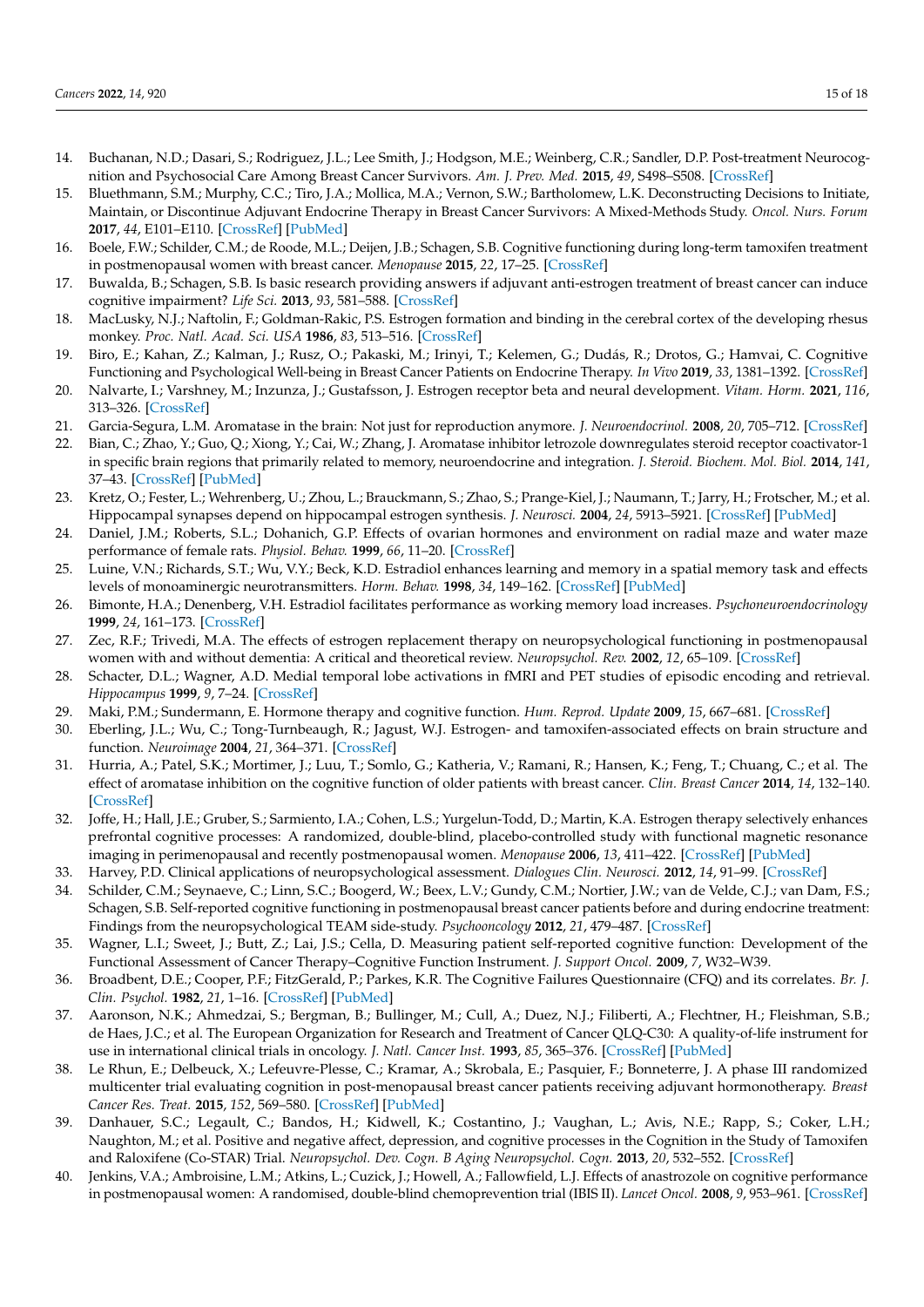- <span id="page-14-0"></span>14. Buchanan, N.D.; Dasari, S.; Rodriguez, J.L.; Lee Smith, J.; Hodgson, M.E.; Weinberg, C.R.; Sandler, D.P. Post-treatment Neurocognition and Psychosocial Care Among Breast Cancer Survivors. *Am. J. Prev. Med.* **2015**, *49*, S498–S508. [\[CrossRef\]](http://doi.org/10.1016/j.amepre.2015.08.013)
- <span id="page-14-1"></span>15. Bluethmann, S.M.; Murphy, C.C.; Tiro, J.A.; Mollica, M.A.; Vernon, S.W.; Bartholomew, L.K. Deconstructing Decisions to Initiate, Maintain, or Discontinue Adjuvant Endocrine Therapy in Breast Cancer Survivors: A Mixed-Methods Study. *Oncol. Nurs. Forum* **2017**, *44*, E101–E110. [\[CrossRef\]](http://doi.org/10.1188/17.ONF.E101-E110) [\[PubMed\]](http://www.ncbi.nlm.nih.gov/pubmed/28635973)
- <span id="page-14-2"></span>16. Boele, F.W.; Schilder, C.M.; de Roode, M.L.; Deijen, J.B.; Schagen, S.B. Cognitive functioning during long-term tamoxifen treatment in postmenopausal women with breast cancer. *Menopause* **2015**, *22*, 17–25. [\[CrossRef\]](http://doi.org/10.1097/GME.0000000000000271)
- <span id="page-14-3"></span>17. Buwalda, B.; Schagen, S.B. Is basic research providing answers if adjuvant anti-estrogen treatment of breast cancer can induce cognitive impairment? *Life Sci.* **2013**, *93*, 581–588. [\[CrossRef\]](http://doi.org/10.1016/j.lfs.2012.12.012)
- <span id="page-14-4"></span>18. MacLusky, N.J.; Naftolin, F.; Goldman-Rakic, P.S. Estrogen formation and binding in the cerebral cortex of the developing rhesus monkey. *Proc. Natl. Acad. Sci. USA* **1986**, *83*, 513–516. [\[CrossRef\]](http://doi.org/10.1073/pnas.83.2.513)
- <span id="page-14-22"></span>19. Biro, E.; Kahan, Z.; Kalman, J.; Rusz, O.; Pakaski, M.; Irinyi, T.; Kelemen, G.; Dudás, R.; Drotos, G.; Hamvai, C. Cognitive Functioning and Psychological Well-being in Breast Cancer Patients on Endocrine Therapy. *In Vivo* **2019**, *33*, 1381–1392. [\[CrossRef\]](http://doi.org/10.21873/invivo.11615)
- <span id="page-14-5"></span>20. Nalvarte, I.; Varshney, M.; Inzunza, J.; Gustafsson, J. Estrogen receptor beta and neural development. *Vitam. Horm.* **2021**, *116*, 313–326. [\[CrossRef\]](http://doi.org/10.1016/bs.vh.2021.02.007)
- <span id="page-14-6"></span>21. Garcia-Segura, L.M. Aromatase in the brain: Not just for reproduction anymore. *J. Neuroendocrinol.* **2008**, *20*, 705–712. [\[CrossRef\]](http://doi.org/10.1111/j.1365-2826.2008.01713.x)
- <span id="page-14-7"></span>22. Bian, C.; Zhao, Y.; Guo, Q.; Xiong, Y.; Cai, W.; Zhang, J. Aromatase inhibitor letrozole downregulates steroid receptor coactivator-1 in specific brain regions that primarily related to memory, neuroendocrine and integration. *J. Steroid. Biochem. Mol. Biol.* **2014**, *141*, 37–43. [\[CrossRef\]](http://doi.org/10.1016/j.jsbmb.2013.12.020) [\[PubMed\]](http://www.ncbi.nlm.nih.gov/pubmed/24434281)
- <span id="page-14-8"></span>23. Kretz, O.; Fester, L.; Wehrenberg, U.; Zhou, L.; Brauckmann, S.; Zhao, S.; Prange-Kiel, J.; Naumann, T.; Jarry, H.; Frotscher, M.; et al. Hippocampal synapses depend on hippocampal estrogen synthesis. *J. Neurosci.* **2004**, *24*, 5913–5921. [\[CrossRef\]](http://doi.org/10.1523/JNEUROSCI.5186-03.2004) [\[PubMed\]](http://www.ncbi.nlm.nih.gov/pubmed/15229239)
- <span id="page-14-9"></span>24. Daniel, J.M.; Roberts, S.L.; Dohanich, G.P. Effects of ovarian hormones and environment on radial maze and water maze performance of female rats. *Physiol. Behav.* **1999**, *66*, 11–20. [\[CrossRef\]](http://doi.org/10.1016/S0031-9384(98)00272-8)
- <span id="page-14-10"></span>25. Luine, V.N.; Richards, S.T.; Wu, V.Y.; Beck, K.D. Estradiol enhances learning and memory in a spatial memory task and effects levels of monoaminergic neurotransmitters. *Horm. Behav.* **1998**, *34*, 149–162. [\[CrossRef\]](http://doi.org/10.1006/hbeh.1998.1473) [\[PubMed\]](http://www.ncbi.nlm.nih.gov/pubmed/9799625)
- <span id="page-14-11"></span>26. Bimonte, H.A.; Denenberg, V.H. Estradiol facilitates performance as working memory load increases. *Psychoneuroendocrinology* **1999**, *24*, 161–173. [\[CrossRef\]](http://doi.org/10.1016/S0306-4530(98)00068-7)
- <span id="page-14-12"></span>27. Zec, R.F.; Trivedi, M.A. The effects of estrogen replacement therapy on neuropsychological functioning in postmenopausal women with and without dementia: A critical and theoretical review. *Neuropsychol. Rev.* **2002**, *12*, 65–109. [\[CrossRef\]](http://doi.org/10.1023/A:1016880127635)
- <span id="page-14-13"></span>28. Schacter, D.L.; Wagner, A.D. Medial temporal lobe activations in fMRI and PET studies of episodic encoding and retrieval. *Hippocampus* **1999**, *9*, 7–24. [\[CrossRef\]](http://doi.org/10.1002/(SICI)1098-1063(1999)9:1<7::AID-HIPO2>3.0.CO;2-K)
- <span id="page-14-14"></span>29. Maki, P.M.; Sundermann, E. Hormone therapy and cognitive function. *Hum. Reprod. Update* **2009**, *15*, 667–681. [\[CrossRef\]](http://doi.org/10.1093/humupd/dmp022)
- <span id="page-14-15"></span>30. Eberling, J.L.; Wu, C.; Tong-Turnbeaugh, R.; Jagust, W.J. Estrogen- and tamoxifen-associated effects on brain structure and function. *Neuroimage* **2004**, *21*, 364–371. [\[CrossRef\]](http://doi.org/10.1016/j.neuroimage.2003.08.037)
- <span id="page-14-16"></span>31. Hurria, A.; Patel, S.K.; Mortimer, J.; Luu, T.; Somlo, G.; Katheria, V.; Ramani, R.; Hansen, K.; Feng, T.; Chuang, C.; et al. The effect of aromatase inhibition on the cognitive function of older patients with breast cancer. *Clin. Breast Cancer* **2014**, *14*, 132–140. [\[CrossRef\]](http://doi.org/10.1016/j.clbc.2013.10.010)
- <span id="page-14-17"></span>32. Joffe, H.; Hall, J.E.; Gruber, S.; Sarmiento, I.A.; Cohen, L.S.; Yurgelun-Todd, D.; Martin, K.A. Estrogen therapy selectively enhances prefrontal cognitive processes: A randomized, double-blind, placebo-controlled study with functional magnetic resonance imaging in perimenopausal and recently postmenopausal women. *Menopause* **2006**, *13*, 411–422. [\[CrossRef\]](http://doi.org/10.1097/01.gme.0000189618.48774.7b) [\[PubMed\]](http://www.ncbi.nlm.nih.gov/pubmed/16735938)
- <span id="page-14-18"></span>33. Harvey, P.D. Clinical applications of neuropsychological assessment. *Dialogues Clin. Neurosci.* **2012**, *14*, 91–99. [\[CrossRef\]](http://doi.org/10.31887/DCNS.2012.14.1/pharvey)
- <span id="page-14-19"></span>34. Schilder, C.M.; Seynaeve, C.; Linn, S.C.; Boogerd, W.; Beex, L.V.; Gundy, C.M.; Nortier, J.W.; van de Velde, C.J.; van Dam, F.S.; Schagen, S.B. Self-reported cognitive functioning in postmenopausal breast cancer patients before and during endocrine treatment: Findings from the neuropsychological TEAM side-study. *Psychooncology* **2012**, *21*, 479–487. [\[CrossRef\]](http://doi.org/10.1002/pon.1928)
- <span id="page-14-20"></span>35. Wagner, L.I.; Sweet, J.; Butt, Z.; Lai, J.S.; Cella, D. Measuring patient self-reported cognitive function: Development of the Functional Assessment of Cancer Therapy–Cognitive Function Instrument. *J. Support Oncol.* **2009**, *7*, W32–W39.
- 36. Broadbent, D.E.; Cooper, P.F.; FitzGerald, P.; Parkes, K.R. The Cognitive Failures Questionnaire (CFQ) and its correlates. *Br. J. Clin. Psychol.* **1982**, *21*, 1–16. [\[CrossRef\]](http://doi.org/10.1111/j.2044-8260.1982.tb01421.x) [\[PubMed\]](http://www.ncbi.nlm.nih.gov/pubmed/7126941)
- <span id="page-14-21"></span>37. Aaronson, N.K.; Ahmedzai, S.; Bergman, B.; Bullinger, M.; Cull, A.; Duez, N.J.; Filiberti, A.; Flechtner, H.; Fleishman, S.B.; de Haes, J.C.; et al. The European Organization for Research and Treatment of Cancer QLQ-C30: A quality-of-life instrument for use in international clinical trials in oncology. *J. Natl. Cancer Inst.* **1993**, *85*, 365–376. [\[CrossRef\]](http://doi.org/10.1093/jnci/85.5.365) [\[PubMed\]](http://www.ncbi.nlm.nih.gov/pubmed/8433390)
- <span id="page-14-23"></span>38. Le Rhun, E.; Delbeuck, X.; Lefeuvre-Plesse, C.; Kramar, A.; Skrobala, E.; Pasquier, F.; Bonneterre, J. A phase III randomized multicenter trial evaluating cognition in post-menopausal breast cancer patients receiving adjuvant hormonotherapy. *Breast Cancer Res. Treat.* **2015**, *152*, 569–580. [\[CrossRef\]](http://doi.org/10.1007/s10549-015-3493-1) [\[PubMed\]](http://www.ncbi.nlm.nih.gov/pubmed/26160250)
- <span id="page-14-24"></span>39. Danhauer, S.C.; Legault, C.; Bandos, H.; Kidwell, K.; Costantino, J.; Vaughan, L.; Avis, N.E.; Rapp, S.; Coker, L.H.; Naughton, M.; et al. Positive and negative affect, depression, and cognitive processes in the Cognition in the Study of Tamoxifen and Raloxifene (Co-STAR) Trial. *Neuropsychol. Dev. Cogn. B Aging Neuropsychol. Cogn.* **2013**, *20*, 532–552. [\[CrossRef\]](http://doi.org/10.1080/13825585.2012.747671)
- <span id="page-14-25"></span>40. Jenkins, V.A.; Ambroisine, L.M.; Atkins, L.; Cuzick, J.; Howell, A.; Fallowfield, L.J. Effects of anastrozole on cognitive performance in postmenopausal women: A randomised, double-blind chemoprevention trial (IBIS II). *Lancet Oncol.* **2008**, *9*, 953–961. [\[CrossRef\]](http://doi.org/10.1016/S1470-2045(08)70207-9)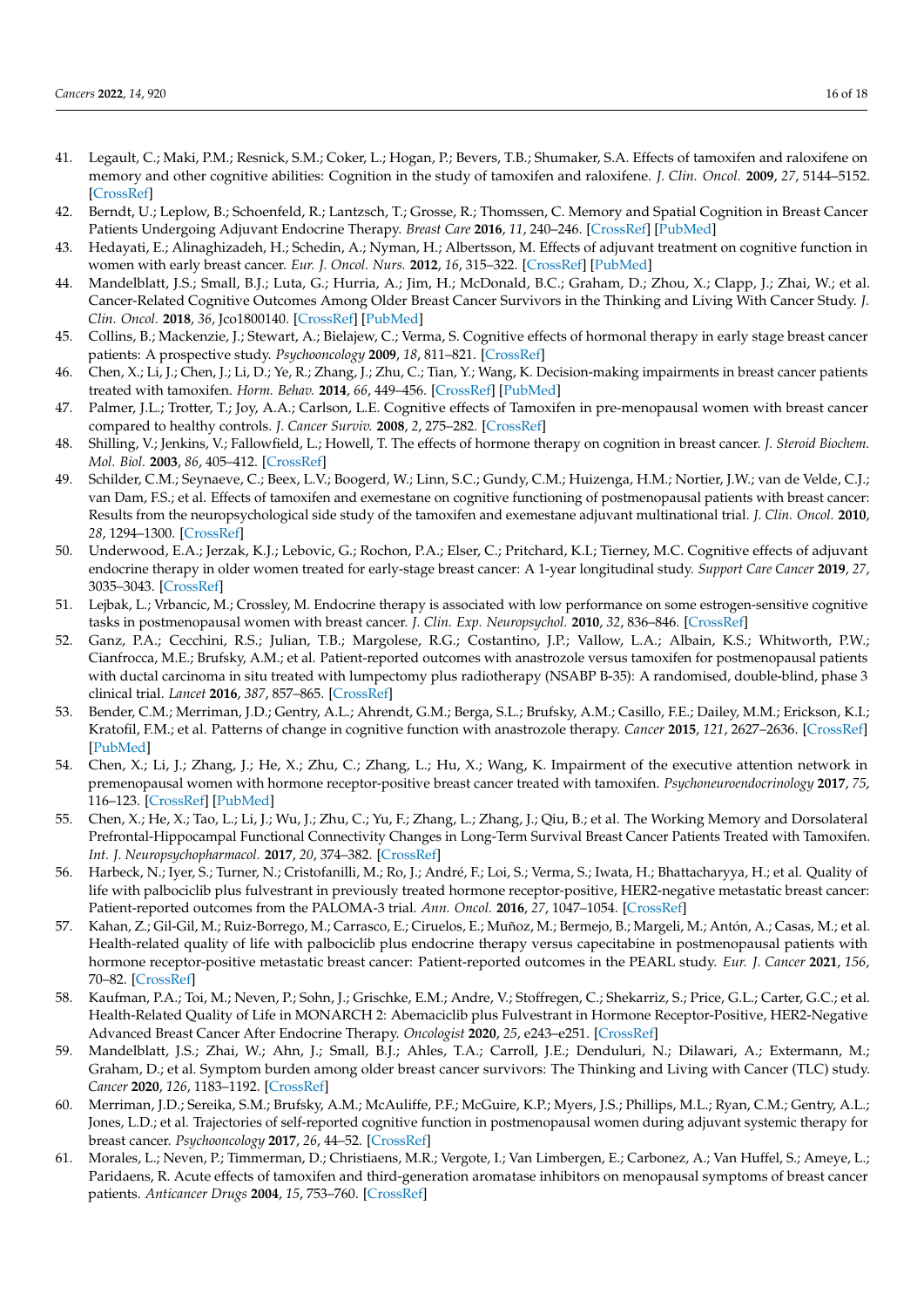- <span id="page-15-0"></span>41. Legault, C.; Maki, P.M.; Resnick, S.M.; Coker, L.; Hogan, P.; Bevers, T.B.; Shumaker, S.A. Effects of tamoxifen and raloxifene on memory and other cognitive abilities: Cognition in the study of tamoxifen and raloxifene. *J. Clin. Oncol.* **2009**, *27*, 5144–5152. [\[CrossRef\]](http://doi.org/10.1200/JCO.2008.21.0716)
- <span id="page-15-1"></span>42. Berndt, U.; Leplow, B.; Schoenfeld, R.; Lantzsch, T.; Grosse, R.; Thomssen, C. Memory and Spatial Cognition in Breast Cancer Patients Undergoing Adjuvant Endocrine Therapy. *Breast Care* **2016**, *11*, 240–246. [\[CrossRef\]](http://doi.org/10.1159/000446901) [\[PubMed\]](http://www.ncbi.nlm.nih.gov/pubmed/27721710)
- <span id="page-15-9"></span>43. Hedayati, E.; Alinaghizadeh, H.; Schedin, A.; Nyman, H.; Albertsson, M. Effects of adjuvant treatment on cognitive function in women with early breast cancer. *Eur. J. Oncol. Nurs.* **2012**, *16*, 315–322. [\[CrossRef\]](http://doi.org/10.1016/j.ejon.2011.07.006) [\[PubMed\]](http://www.ncbi.nlm.nih.gov/pubmed/21908235)
- <span id="page-15-2"></span>44. Mandelblatt, J.S.; Small, B.J.; Luta, G.; Hurria, A.; Jim, H.; McDonald, B.C.; Graham, D.; Zhou, X.; Clapp, J.; Zhai, W.; et al. Cancer-Related Cognitive Outcomes Among Older Breast Cancer Survivors in the Thinking and Living With Cancer Study. *J. Clin. Oncol.* **2018**, *36*, Jco1800140. [\[CrossRef\]](http://doi.org/10.1200/JCO.18.00140) [\[PubMed\]](http://www.ncbi.nlm.nih.gov/pubmed/30281396)
- <span id="page-15-3"></span>45. Collins, B.; Mackenzie, J.; Stewart, A.; Bielajew, C.; Verma, S. Cognitive effects of hormonal therapy in early stage breast cancer patients: A prospective study. *Psychooncology* **2009**, *18*, 811–821. [\[CrossRef\]](http://doi.org/10.1002/pon.1453)
- <span id="page-15-12"></span>46. Chen, X.; Li, J.; Chen, J.; Li, D.; Ye, R.; Zhang, J.; Zhu, C.; Tian, Y.; Wang, K. Decision-making impairments in breast cancer patients treated with tamoxifen. *Horm. Behav.* **2014**, *66*, 449–456. [\[CrossRef\]](http://doi.org/10.1016/j.yhbeh.2014.07.005) [\[PubMed\]](http://www.ncbi.nlm.nih.gov/pubmed/25036869)
- <span id="page-15-7"></span>47. Palmer, J.L.; Trotter, T.; Joy, A.A.; Carlson, L.E. Cognitive effects of Tamoxifen in pre-menopausal women with breast cancer compared to healthy controls. *J. Cancer Surviv.* **2008**, *2*, 275–282. [\[CrossRef\]](http://doi.org/10.1007/s11764-008-0070-1)
- <span id="page-15-5"></span>48. Shilling, V.; Jenkins, V.; Fallowfield, L.; Howell, T. The effects of hormone therapy on cognition in breast cancer. *J. Steroid Biochem. Mol. Biol.* **2003**, *86*, 405–412. [\[CrossRef\]](http://doi.org/10.1016/j.jsbmb.2003.07.001)
- <span id="page-15-8"></span>49. Schilder, C.M.; Seynaeve, C.; Beex, L.V.; Boogerd, W.; Linn, S.C.; Gundy, C.M.; Huizenga, H.M.; Nortier, J.W.; van de Velde, C.J.; van Dam, F.S.; et al. Effects of tamoxifen and exemestane on cognitive functioning of postmenopausal patients with breast cancer: Results from the neuropsychological side study of the tamoxifen and exemestane adjuvant multinational trial. *J. Clin. Oncol.* **2010**, *28*, 1294–1300. [\[CrossRef\]](http://doi.org/10.1200/JCO.2008.21.3553)
- <span id="page-15-4"></span>50. Underwood, E.A.; Jerzak, K.J.; Lebovic, G.; Rochon, P.A.; Elser, C.; Pritchard, K.I.; Tierney, M.C. Cognitive effects of adjuvant endocrine therapy in older women treated for early-stage breast cancer: A 1-year longitudinal study. *Support Care Cancer* **2019**, *27*, 3035–3043. [\[CrossRef\]](http://doi.org/10.1007/s00520-018-4603-5)
- <span id="page-15-6"></span>51. Lejbak, L.; Vrbancic, M.; Crossley, M. Endocrine therapy is associated with low performance on some estrogen-sensitive cognitive tasks in postmenopausal women with breast cancer. *J. Clin. Exp. Neuropsychol.* **2010**, *32*, 836–846. [\[CrossRef\]](http://doi.org/10.1080/13803391003596389)
- <span id="page-15-10"></span>52. Ganz, P.A.; Cecchini, R.S.; Julian, T.B.; Margolese, R.G.; Costantino, J.P.; Vallow, L.A.; Albain, K.S.; Whitworth, P.W.; Cianfrocca, M.E.; Brufsky, A.M.; et al. Patient-reported outcomes with anastrozole versus tamoxifen for postmenopausal patients with ductal carcinoma in situ treated with lumpectomy plus radiotherapy (NSABP B-35): A randomised, double-blind, phase 3 clinical trial. *Lancet* **2016**, *387*, 857–865. [\[CrossRef\]](http://doi.org/10.1016/S0140-6736(15)01169-1)
- <span id="page-15-11"></span>53. Bender, C.M.; Merriman, J.D.; Gentry, A.L.; Ahrendt, G.M.; Berga, S.L.; Brufsky, A.M.; Casillo, F.E.; Dailey, M.M.; Erickson, K.I.; Kratofil, F.M.; et al. Patterns of change in cognitive function with anastrozole therapy. *Cancer* **2015**, *121*, 2627–2636. [\[CrossRef\]](http://doi.org/10.1002/cncr.29393) [\[PubMed\]](http://www.ncbi.nlm.nih.gov/pubmed/25906766)
- <span id="page-15-13"></span>54. Chen, X.; Li, J.; Zhang, J.; He, X.; Zhu, C.; Zhang, L.; Hu, X.; Wang, K. Impairment of the executive attention network in premenopausal women with hormone receptor-positive breast cancer treated with tamoxifen. *Psychoneuroendocrinology* **2017**, *75*, 116–123. [\[CrossRef\]](http://doi.org/10.1016/j.psyneuen.2016.10.020) [\[PubMed\]](http://www.ncbi.nlm.nih.gov/pubmed/27815995)
- <span id="page-15-14"></span>55. Chen, X.; He, X.; Tao, L.; Li, J.; Wu, J.; Zhu, C.; Yu, F.; Zhang, L.; Zhang, J.; Qiu, B.; et al. The Working Memory and Dorsolateral Prefrontal-Hippocampal Functional Connectivity Changes in Long-Term Survival Breast Cancer Patients Treated with Tamoxifen. *Int. J. Neuropsychopharmacol.* **2017**, *20*, 374–382. [\[CrossRef\]](http://doi.org/10.1093/ijnp/pyx008)
- <span id="page-15-15"></span>56. Harbeck, N.; Iyer, S.; Turner, N.; Cristofanilli, M.; Ro, J.; André, F.; Loi, S.; Verma, S.; Iwata, H.; Bhattacharyya, H.; et al. Quality of life with palbociclib plus fulvestrant in previously treated hormone receptor-positive, HER2-negative metastatic breast cancer: Patient-reported outcomes from the PALOMA-3 trial. *Ann. Oncol.* **2016**, *27*, 1047–1054. [\[CrossRef\]](http://doi.org/10.1093/annonc/mdw139)
- <span id="page-15-16"></span>57. Kahan, Z.; Gil-Gil, M.; Ruiz-Borrego, M.; Carrasco, E.; Ciruelos, E.; Muñoz, M.; Bermejo, B.; Margeli, M.; Antón, A.; Casas, M.; et al. Health-related quality of life with palbociclib plus endocrine therapy versus capecitabine in postmenopausal patients with hormone receptor-positive metastatic breast cancer: Patient-reported outcomes in the PEARL study. *Eur. J. Cancer* **2021**, *156*, 70–82. [\[CrossRef\]](http://doi.org/10.1016/j.ejca.2021.07.004)
- <span id="page-15-17"></span>58. Kaufman, P.A.; Toi, M.; Neven, P.; Sohn, J.; Grischke, E.M.; Andre, V.; Stoffregen, C.; Shekarriz, S.; Price, G.L.; Carter, G.C.; et al. Health-Related Quality of Life in MONARCH 2: Abemaciclib plus Fulvestrant in Hormone Receptor-Positive, HER2-Negative Advanced Breast Cancer After Endocrine Therapy. *Oncologist* **2020**, *25*, e243–e251. [\[CrossRef\]](http://doi.org/10.1634/theoncologist.2019-0551)
- <span id="page-15-18"></span>59. Mandelblatt, J.S.; Zhai, W.; Ahn, J.; Small, B.J.; Ahles, T.A.; Carroll, J.E.; Denduluri, N.; Dilawari, A.; Extermann, M.; Graham, D.; et al. Symptom burden among older breast cancer survivors: The Thinking and Living with Cancer (TLC) study. *Cancer* **2020**, *126*, 1183–1192. [\[CrossRef\]](http://doi.org/10.1002/cncr.32663)
- <span id="page-15-19"></span>60. Merriman, J.D.; Sereika, S.M.; Brufsky, A.M.; McAuliffe, P.F.; McGuire, K.P.; Myers, J.S.; Phillips, M.L.; Ryan, C.M.; Gentry, A.L.; Jones, L.D.; et al. Trajectories of self-reported cognitive function in postmenopausal women during adjuvant systemic therapy for breast cancer. *Psychooncology* **2017**, *26*, 44–52. [\[CrossRef\]](http://doi.org/10.1002/pon.4009)
- <span id="page-15-20"></span>61. Morales, L.; Neven, P.; Timmerman, D.; Christiaens, M.R.; Vergote, I.; Van Limbergen, E.; Carbonez, A.; Van Huffel, S.; Ameye, L.; Paridaens, R. Acute effects of tamoxifen and third-generation aromatase inhibitors on menopausal symptoms of breast cancer patients. *Anticancer Drugs* **2004**, *15*, 753–760. [\[CrossRef\]](http://doi.org/10.1097/00001813-200409000-00003)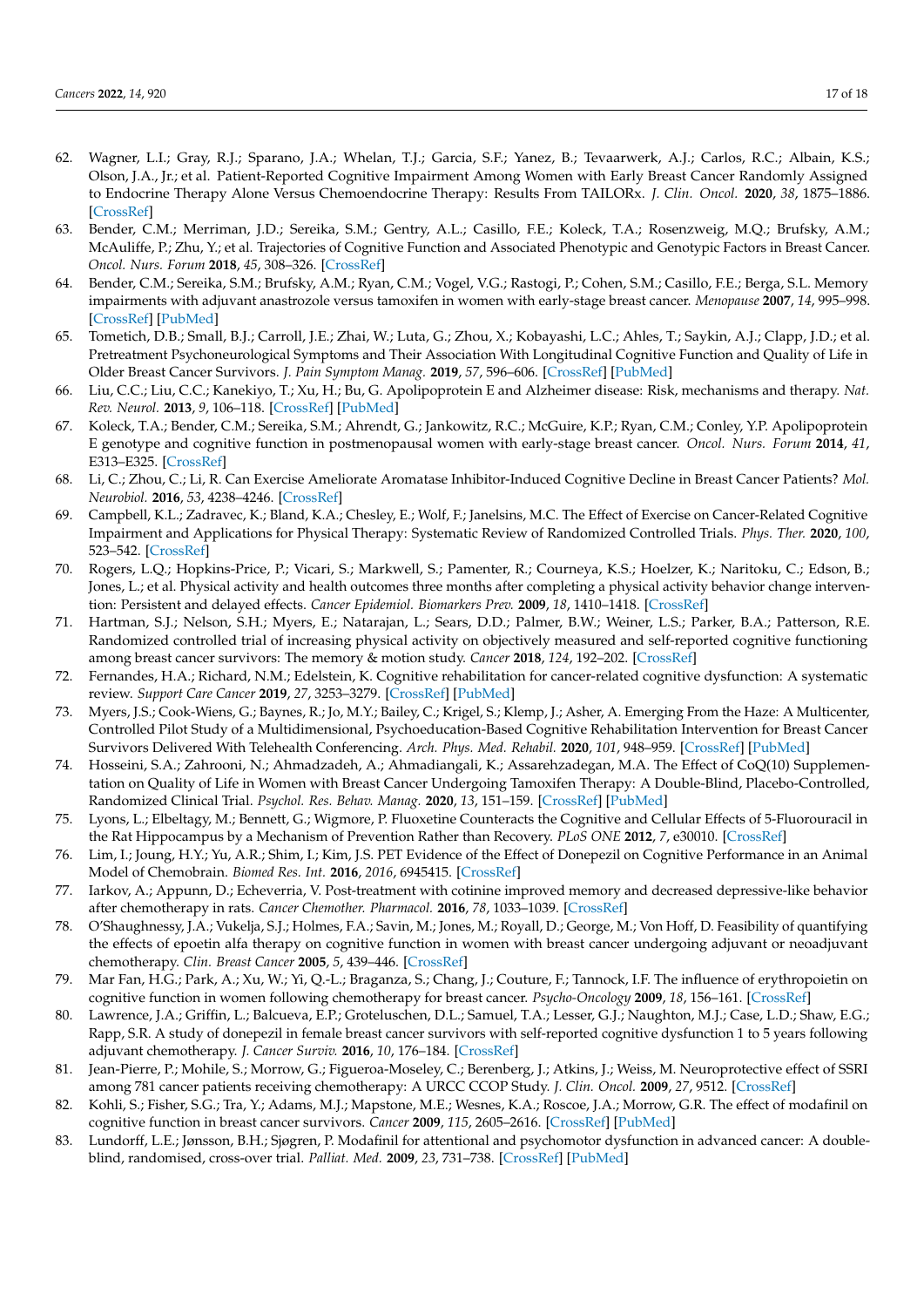- <span id="page-16-0"></span>62. Wagner, L.I.; Gray, R.J.; Sparano, J.A.; Whelan, T.J.; Garcia, S.F.; Yanez, B.; Tevaarwerk, A.J.; Carlos, R.C.; Albain, K.S.; Olson, J.A., Jr.; et al. Patient-Reported Cognitive Impairment Among Women with Early Breast Cancer Randomly Assigned to Endocrine Therapy Alone Versus Chemoendocrine Therapy: Results From TAILORx. *J. Clin. Oncol.* **2020**, *38*, 1875–1886. [\[CrossRef\]](http://doi.org/10.1200/JCO.19.01866)
- <span id="page-16-1"></span>63. Bender, C.M.; Merriman, J.D.; Sereika, S.M.; Gentry, A.L.; Casillo, F.E.; Koleck, T.A.; Rosenzweig, M.Q.; Brufsky, A.M.; McAuliffe, P.; Zhu, Y.; et al. Trajectories of Cognitive Function and Associated Phenotypic and Genotypic Factors in Breast Cancer. *Oncol. Nurs. Forum* **2018**, *45*, 308–326. [\[CrossRef\]](http://doi.org/10.1188/18.ONF.308-326)
- 64. Bender, C.M.; Sereika, S.M.; Brufsky, A.M.; Ryan, C.M.; Vogel, V.G.; Rastogi, P.; Cohen, S.M.; Casillo, F.E.; Berga, S.L. Memory impairments with adjuvant anastrozole versus tamoxifen in women with early-stage breast cancer. *Menopause* **2007**, *14*, 995–998. [\[CrossRef\]](http://doi.org/10.1097/gme.0b013e318148b28b) [\[PubMed\]](http://www.ncbi.nlm.nih.gov/pubmed/17898668)
- <span id="page-16-2"></span>65. Tometich, D.B.; Small, B.J.; Carroll, J.E.; Zhai, W.; Luta, G.; Zhou, X.; Kobayashi, L.C.; Ahles, T.; Saykin, A.J.; Clapp, J.D.; et al. Pretreatment Psychoneurological Symptoms and Their Association With Longitudinal Cognitive Function and Quality of Life in Older Breast Cancer Survivors. *J. Pain Symptom Manag.* **2019**, *57*, 596–606. [\[CrossRef\]](http://doi.org/10.1016/j.jpainsymman.2018.11.015) [\[PubMed\]](http://www.ncbi.nlm.nih.gov/pubmed/30472317)
- <span id="page-16-3"></span>66. Liu, C.C.; Liu, C.C.; Kanekiyo, T.; Xu, H.; Bu, G. Apolipoprotein E and Alzheimer disease: Risk, mechanisms and therapy. *Nat. Rev. Neurol.* **2013**, *9*, 106–118. [\[CrossRef\]](http://doi.org/10.1038/nrneurol.2012.263) [\[PubMed\]](http://www.ncbi.nlm.nih.gov/pubmed/23296339)
- <span id="page-16-4"></span>67. Koleck, T.A.; Bender, C.M.; Sereika, S.M.; Ahrendt, G.; Jankowitz, R.C.; McGuire, K.P.; Ryan, C.M.; Conley, Y.P. Apolipoprotein E genotype and cognitive function in postmenopausal women with early-stage breast cancer. *Oncol. Nurs. Forum* **2014**, *41*, E313–E325. [\[CrossRef\]](http://doi.org/10.1188/14.ONF.E313-E325)
- <span id="page-16-5"></span>68. Li, C.; Zhou, C.; Li, R. Can Exercise Ameliorate Aromatase Inhibitor-Induced Cognitive Decline in Breast Cancer Patients? *Mol. Neurobiol.* **2016**, *53*, 4238–4246. [\[CrossRef\]](http://doi.org/10.1007/s12035-015-9341-9)
- <span id="page-16-6"></span>69. Campbell, K.L.; Zadravec, K.; Bland, K.A.; Chesley, E.; Wolf, F.; Janelsins, M.C. The Effect of Exercise on Cancer-Related Cognitive Impairment and Applications for Physical Therapy: Systematic Review of Randomized Controlled Trials. *Phys. Ther.* **2020**, *100*, 523–542. [\[CrossRef\]](http://doi.org/10.1093/ptj/pzz090)
- <span id="page-16-7"></span>70. Rogers, L.Q.; Hopkins-Price, P.; Vicari, S.; Markwell, S.; Pamenter, R.; Courneya, K.S.; Hoelzer, K.; Naritoku, C.; Edson, B.; Jones, L.; et al. Physical activity and health outcomes three months after completing a physical activity behavior change intervention: Persistent and delayed effects. *Cancer Epidemiol. Biomarkers Prev.* **2009**, *18*, 1410–1418. [\[CrossRef\]](http://doi.org/10.1158/1055-9965.EPI-08-1045)
- <span id="page-16-8"></span>71. Hartman, S.J.; Nelson, S.H.; Myers, E.; Natarajan, L.; Sears, D.D.; Palmer, B.W.; Weiner, L.S.; Parker, B.A.; Patterson, R.E. Randomized controlled trial of increasing physical activity on objectively measured and self-reported cognitive functioning among breast cancer survivors: The memory & motion study. *Cancer* **2018**, *124*, 192–202. [\[CrossRef\]](http://doi.org/10.1002/cncr.30987)
- <span id="page-16-9"></span>72. Fernandes, H.A.; Richard, N.M.; Edelstein, K. Cognitive rehabilitation for cancer-related cognitive dysfunction: A systematic review. *Support Care Cancer* **2019**, *27*, 3253–3279. [\[CrossRef\]](http://doi.org/10.1007/s00520-019-04866-2) [\[PubMed\]](http://www.ncbi.nlm.nih.gov/pubmed/31147780)
- <span id="page-16-10"></span>73. Myers, J.S.; Cook-Wiens, G.; Baynes, R.; Jo, M.Y.; Bailey, C.; Krigel, S.; Klemp, J.; Asher, A. Emerging From the Haze: A Multicenter, Controlled Pilot Study of a Multidimensional, Psychoeducation-Based Cognitive Rehabilitation Intervention for Breast Cancer Survivors Delivered With Telehealth Conferencing. *Arch. Phys. Med. Rehabil.* **2020**, *101*, 948–959. [\[CrossRef\]](http://doi.org/10.1016/j.apmr.2020.01.021) [\[PubMed\]](http://www.ncbi.nlm.nih.gov/pubmed/32179067)
- <span id="page-16-11"></span>74. Hosseini, S.A.; Zahrooni, N.; Ahmadzadeh, A.; Ahmadiangali, K.; Assarehzadegan, M.A. The Effect of CoQ(10) Supplementation on Quality of Life in Women with Breast Cancer Undergoing Tamoxifen Therapy: A Double-Blind, Placebo-Controlled, Randomized Clinical Trial. *Psychol. Res. Behav. Manag.* **2020**, *13*, 151–159. [\[CrossRef\]](http://doi.org/10.2147/PRBM.S241431) [\[PubMed\]](http://www.ncbi.nlm.nih.gov/pubmed/32110123)
- <span id="page-16-12"></span>75. Lyons, L.; Elbeltagy, M.; Bennett, G.; Wigmore, P. Fluoxetine Counteracts the Cognitive and Cellular Effects of 5-Fluorouracil in the Rat Hippocampus by a Mechanism of Prevention Rather than Recovery. *PLoS ONE* **2012**, *7*, e30010. [\[CrossRef\]](http://doi.org/10.1371/journal.pone.0030010)
- 76. Lim, I.; Joung, H.Y.; Yu, A.R.; Shim, I.; Kim, J.S. PET Evidence of the Effect of Donepezil on Cognitive Performance in an Animal Model of Chemobrain. *Biomed Res. Int.* **2016**, *2016*, 6945415. [\[CrossRef\]](http://doi.org/10.1155/2016/6945415)
- <span id="page-16-13"></span>77. Iarkov, A.; Appunn, D.; Echeverria, V. Post-treatment with cotinine improved memory and decreased depressive-like behavior after chemotherapy in rats. *Cancer Chemother. Pharmacol.* **2016**, *78*, 1033–1039. [\[CrossRef\]](http://doi.org/10.1007/s00280-016-3161-0)
- <span id="page-16-14"></span>78. O'Shaughnessy, J.A.; Vukelja, S.J.; Holmes, F.A.; Savin, M.; Jones, M.; Royall, D.; George, M.; Von Hoff, D. Feasibility of quantifying the effects of epoetin alfa therapy on cognitive function in women with breast cancer undergoing adjuvant or neoadjuvant chemotherapy. *Clin. Breast Cancer* **2005**, *5*, 439–446. [\[CrossRef\]](http://doi.org/10.3816/CBC.2005.n.002)
- 79. Mar Fan, H.G.; Park, A.; Xu, W.; Yi, Q.-L.; Braganza, S.; Chang, J.; Couture, F.; Tannock, I.F. The influence of erythropoietin on cognitive function in women following chemotherapy for breast cancer. *Psycho-Oncology* **2009**, *18*, 156–161. [\[CrossRef\]](http://doi.org/10.1002/pon.1372)
- 80. Lawrence, J.A.; Griffin, L.; Balcueva, E.P.; Groteluschen, D.L.; Samuel, T.A.; Lesser, G.J.; Naughton, M.J.; Case, L.D.; Shaw, E.G.; Rapp, S.R. A study of donepezil in female breast cancer survivors with self-reported cognitive dysfunction 1 to 5 years following adjuvant chemotherapy. *J. Cancer Surviv.* **2016**, *10*, 176–184. [\[CrossRef\]](http://doi.org/10.1007/s11764-015-0463-x)
- <span id="page-16-15"></span>81. Jean-Pierre, P.; Mohile, S.; Morrow, G.; Figueroa-Moseley, C.; Berenberg, J.; Atkins, J.; Weiss, M. Neuroprotective effect of SSRI among 781 cancer patients receiving chemotherapy: A URCC CCOP Study. *J. Clin. Oncol.* **2009**, *27*, 9512. [\[CrossRef\]](http://doi.org/10.1200/jco.2009.27.15_suppl.9512)
- <span id="page-16-16"></span>82. Kohli, S.; Fisher, S.G.; Tra, Y.; Adams, M.J.; Mapstone, M.E.; Wesnes, K.A.; Roscoe, J.A.; Morrow, G.R. The effect of modafinil on cognitive function in breast cancer survivors. *Cancer* **2009**, *115*, 2605–2616. [\[CrossRef\]](http://doi.org/10.1002/cncr.24287) [\[PubMed\]](http://www.ncbi.nlm.nih.gov/pubmed/19309747)
- 83. Lundorff, L.E.; Jønsson, B.H.; Sjøgren, P. Modafinil for attentional and psychomotor dysfunction in advanced cancer: A doubleblind, randomised, cross-over trial. *Palliat. Med.* **2009**, *23*, 731–738. [\[CrossRef\]](http://doi.org/10.1177/0269216309106872) [\[PubMed\]](http://www.ncbi.nlm.nih.gov/pubmed/19648224)